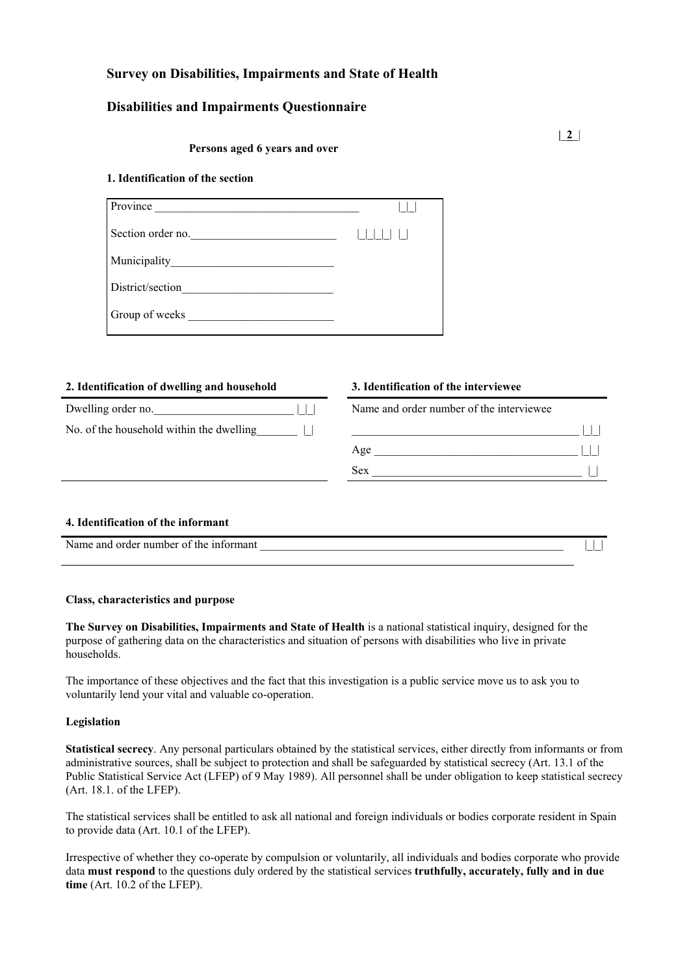# **Survey on Disabilities, Impairments and State of Health**

# **Disabilities and Impairments Questionnaire**

#### **Persons aged 6 years and over**

#### **1. Identification of the section**

| Province          |  |
|-------------------|--|
| Section order no. |  |
|                   |  |
| District/section  |  |
| Group of weeks    |  |

#### **2. Identification of dwelling and household 3. Identification of the interviewee**

| Dwelling order no.                       | $\Box$ |
|------------------------------------------|--------|
| No. of the household within the dwelling |        |
|                                          |        |

Name and order number of the interviewee No. of the household within the dwelling  $\Box$  $Age \_$ Sex \_\_\_\_\_\_\_\_\_\_\_\_\_\_\_\_\_\_\_\_\_\_\_\_\_\_\_\_\_\_\_\_\_\_\_\_ |\_|

#### **4. Identification of the informant**

| Name<br>-informant<br>the<br>and<br><sup>.</sup> number<br>--<br>. order<br>$^{\prime}$<br>. . |  |  |
|------------------------------------------------------------------------------------------------|--|--|
|                                                                                                |  |  |

#### **Class, characteristics and purpose**

**The Survey on Disabilities, Impairments and State of Health** is a national statistical inquiry, designed for the purpose of gathering data on the characteristics and situation of persons with disabilities who live in private households.

The importance of these objectives and the fact that this investigation is a public service move us to ask you to voluntarily lend your vital and valuable co-operation.

#### **Legislation**

**Statistical secrecy**. Any personal particulars obtained by the statistical services, either directly from informants or from administrative sources, shall be subject to protection and shall be safeguarded by statistical secrecy (Art. 13.1 of the Public Statistical Service Act (LFEP) of 9 May 1989). All personnel shall be under obligation to keep statistical secrecy (Art. 18.1. of the LFEP).

The statistical services shall be entitled to ask all national and foreign individuals or bodies corporate resident in Spain to provide data (Art. 10.1 of the LFEP).

Irrespective of whether they co-operate by compulsion or voluntarily, all individuals and bodies corporate who provide data **must respond** to the questions duly ordered by the statistical services **truthfully, accurately, fully and in due time** (Art. 10.2 of the LFEP).

**|**\_**2**\_|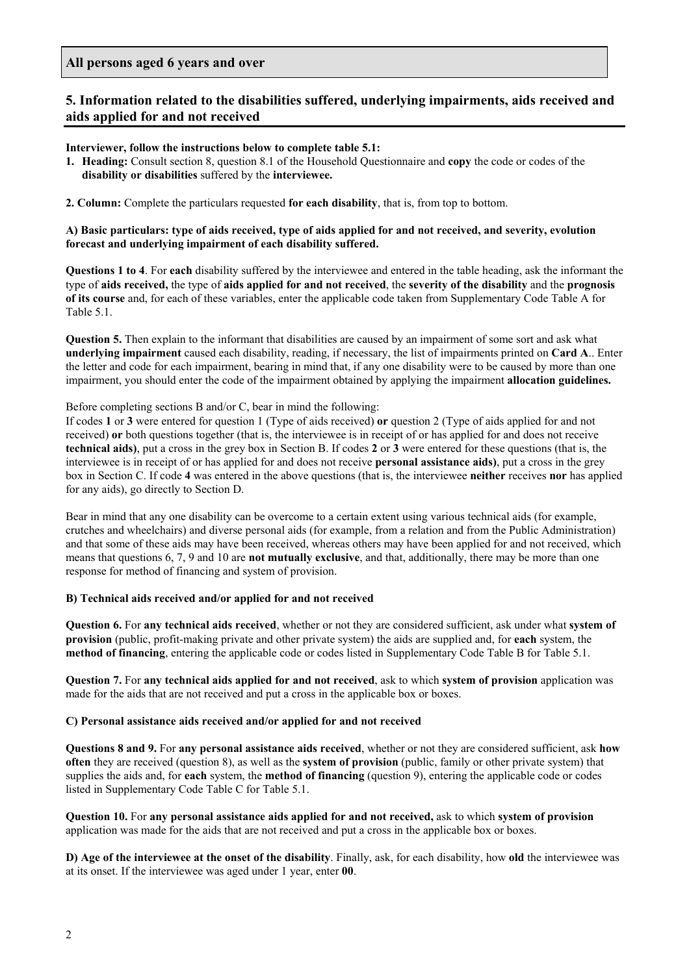## **All persons aged 6 years and over**

# **5. Information related to the disabilities suffered, underlying impairments, aids received and aids applied for and not received**

## **Interviewer, follow the instructions below to complete table 5.1:**

**1. Heading:** Consult section 8, question 8.1 of the Household Questionnaire and **copy** the code or codes of the **disability or disabilities** suffered by the **interviewee.**

**2. Column:** Complete the particulars requested **for each disability**, that is, from top to bottom.

## **A) Basic particulars: type of aids received, type of aids applied for and not received, and severity, evolution forecast and underlying impairment of each disability suffered.**

**Questions 1 to 4**. For **each** disability suffered by the interviewee and entered in the table heading, ask the informant the type of **aids received,** the type of **aids applied for and not received**, the **severity of the disability** and the **prognosis of its course** and, for each of these variables, enter the applicable code taken from Supplementary Code Table A for Table 5.1.

**Question 5.** Then explain to the informant that disabilities are caused by an impairment of some sort and ask what **underlying impairment** caused each disability, reading, if necessary, the list of impairments printed on **Card A**.. Enter the letter and code for each impairment, bearing in mind that, if any one disability were to be caused by more than one impairment, you should enter the code of the impairment obtained by applying the impairment **allocation guidelines.**

## Before completing sections B and/or C, bear in mind the following:

If codes **1** or **3** were entered for question 1 (Type of aids received) **or** question 2 (Type of aids applied for and not received) **or** both questions together (that is, the interviewee is in receipt of or has applied for and does not receive **technical aids)**, put a cross in the grey box in Section B. If codes **2** or **3** were entered for these questions (that is, the interviewee is in receipt of or has applied for and does not receive **personal assistance aids)**, put a cross in the grey box in Section C. If code **4** was entered in the above questions (that is, the interviewee **neither** receives **nor** has applied for any aids), go directly to Section D.

Bear in mind that any one disability can be overcome to a certain extent using various technical aids (for example, crutches and wheelchairs) and diverse personal aids (for example, from a relation and from the Public Administration) and that some of these aids may have been received, whereas others may have been applied for and not received, which means that questions 6, 7, 9 and 10 are **not mutually exclusive**, and that, additionally, there may be more than one response for method of financing and system of provision.

#### **B) Technical aids received and/or applied for and not received**

**Question 6.** For **any technical aids received**, whether or not they are considered sufficient, ask under what **system of provision** (public, profit-making private and other private system) the aids are supplied and, for **each** system, the **method of financing**, entering the applicable code or codes listed in Supplementary Code Table B for Table 5.1.

**Question 7.** For **any technical aids applied for and not received**, ask to which **system of provision** application was made for the aids that are not received and put a cross in the applicable box or boxes.

#### **C) Personal assistance aids received and/or applied for and not received**

**Questions 8 and 9.** For **any personal assistance aids received**, whether or not they are considered sufficient, ask **how often** they are received (question 8), as well as the **system of provision** (public, family or other private system) that supplies the aids and, for **each** system, the **method of financing** (question 9), entering the applicable code or codes listed in Supplementary Code Table C for Table 5.1.

**Question 10.** For **any personal assistance aids applied for and not received,** ask to which **system of provision** application was made for the aids that are not received and put a cross in the applicable box or boxes.

**D) Age of the interviewee at the onset of the disability**. Finally, ask, for each disability, how **old** the interviewee was at its onset. If the interviewee was aged under 1 year, enter **00**.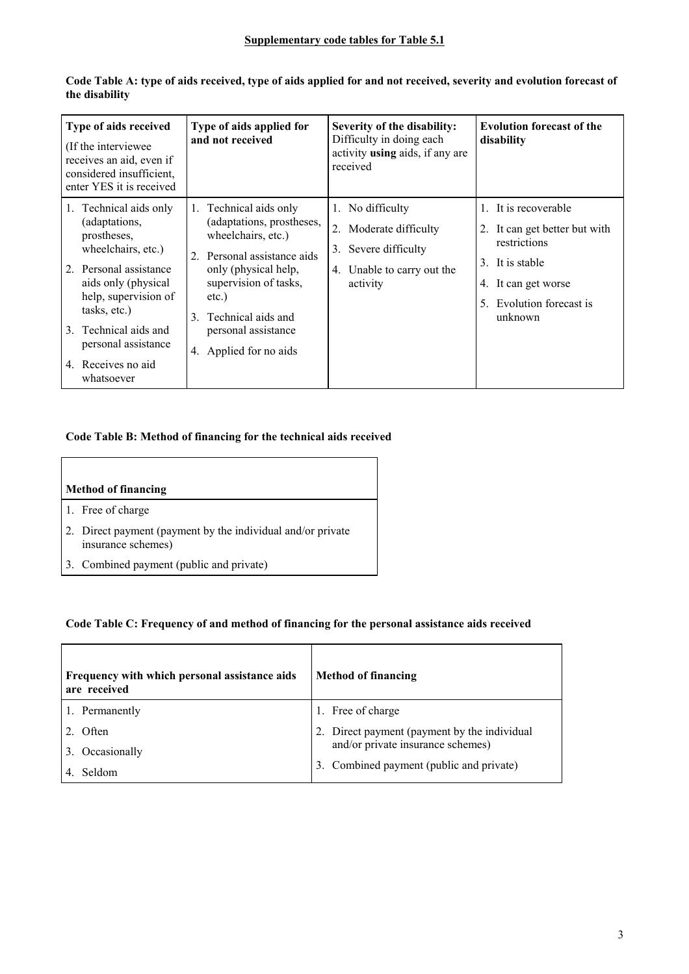| Type of aids received<br>(If the interviewee)<br>receives an aid, even if<br>considered insufficient,<br>enter YES it is received                                                                                                                         | Type of aids applied for<br>and not received                                                                                                                                                                                                 | Severity of the disability:<br>Difficulty in doing each<br>activity <b>using</b> aids, if any are<br>received   | <b>Evolution forecast of the</b><br>disability                                                                                                         |
|-----------------------------------------------------------------------------------------------------------------------------------------------------------------------------------------------------------------------------------------------------------|----------------------------------------------------------------------------------------------------------------------------------------------------------------------------------------------------------------------------------------------|-----------------------------------------------------------------------------------------------------------------|--------------------------------------------------------------------------------------------------------------------------------------------------------|
| 1. Technical aids only<br>(adaptations,<br>prostheses,<br>wheelchairs, etc.)<br>2. Personal assistance<br>aids only (physical<br>help, supervision of<br>tasks, etc.)<br>3. Technical aids and<br>personal assistance<br>4. Receives no aid<br>whatsoever | 1. Technical aids only<br>(adaptations, prostheses,<br>wheelchairs, etc.)<br>2. Personal assistance aids<br>only (physical help,<br>supervision of tasks,<br>etc.)<br>3. Technical aids and<br>personal assistance<br>4. Applied for no aids | 1. No difficulty<br>2. Moderate difficulty<br>3. Severe difficulty<br>Unable to carry out the<br>4.<br>activity | 1. It is recoverable<br>2. It can get better but with<br>restrictions<br>3. It is stable<br>4. It can get worse<br>5. Evolution forecast is<br>unknown |

 $\overline{\phantom{0}}$ 

**Code Table A: type of aids received, type of aids applied for and not received, severity and evolution forecast of the disability**

# **Code Table B: Method of financing for the technical aids received**

| <b>Method of financing</b>                                                        |
|-----------------------------------------------------------------------------------|
| 1. Free of charge                                                                 |
| 2. Direct payment (payment by the individual and/or private<br>insurance schemes) |
| 3. Combined payment (public and private)                                          |

# **Code Table C: Frequency of and method of financing for the personal assistance aids received**

| Frequency with which personal assistance aids<br>are received | <b>Method of financing</b>                  |
|---------------------------------------------------------------|---------------------------------------------|
| 1. Permanently                                                | Free of charge<br>$\mathbf{I}$ .            |
| Often                                                         | Direct payment (payment by the individual   |
| Occasionally<br>3.                                            | and/or private insurance schemes)           |
| Seldom                                                        | Combined payment (public and private)<br>3. |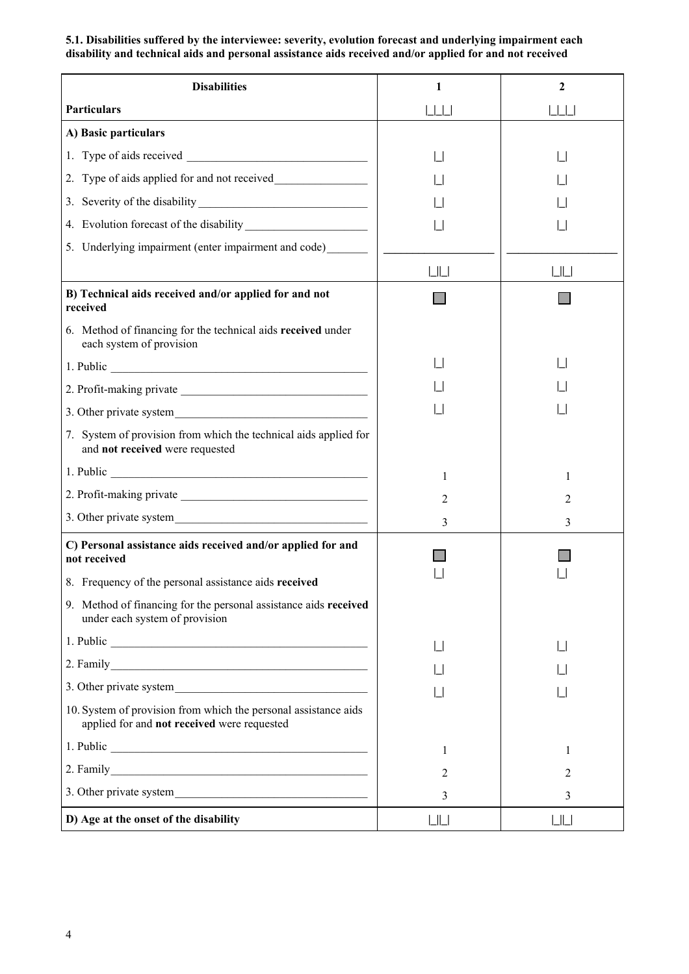**5.1. Disabilities suffered by the interviewee: severity, evolution forecast and underlying impairment each disability and technical aids and personal assistance aids received and/or applied for and not received**

| <b>Disabilities</b>                                                                                            | 1       | $\mathbf{2}$ |
|----------------------------------------------------------------------------------------------------------------|---------|--------------|
| <b>Particulars</b>                                                                                             | 1  1  1 | 1  1  1      |
| A) Basic particulars                                                                                           |         |              |
|                                                                                                                |         |              |
| 2. Type of aids applied for and not received                                                                   |         |              |
|                                                                                                                |         |              |
|                                                                                                                |         |              |
| 5. Underlying impairment (enter impairment and code)_______                                                    |         |              |
|                                                                                                                | LLL     | LIL          |
| B) Technical aids received and/or applied for and not<br>received                                              |         |              |
| 6. Method of financing for the technical aids received under<br>each system of provision                       |         |              |
|                                                                                                                |         |              |
|                                                                                                                |         |              |
|                                                                                                                |         |              |
| 7. System of provision from which the technical aids applied for<br>and not received were requested            |         |              |
|                                                                                                                | 1       | 1            |
|                                                                                                                | 2       | 2            |
|                                                                                                                | 3       | 3            |
| C) Personal assistance aids received and/or applied for and<br>not received                                    |         |              |
| 8. Frequency of the personal assistance aids received                                                          |         |              |
| 9. Method of financing for the personal assistance aids received<br>under each system of provision             |         |              |
|                                                                                                                |         |              |
|                                                                                                                |         |              |
|                                                                                                                |         |              |
| 10. System of provision from which the personal assistance aids<br>applied for and not received were requested |         |              |
|                                                                                                                | 1       | 1            |
|                                                                                                                | 2       | 2            |
|                                                                                                                | 3       | 3            |
| D) Age at the onset of the disability                                                                          | LLL     | $L$ $L$      |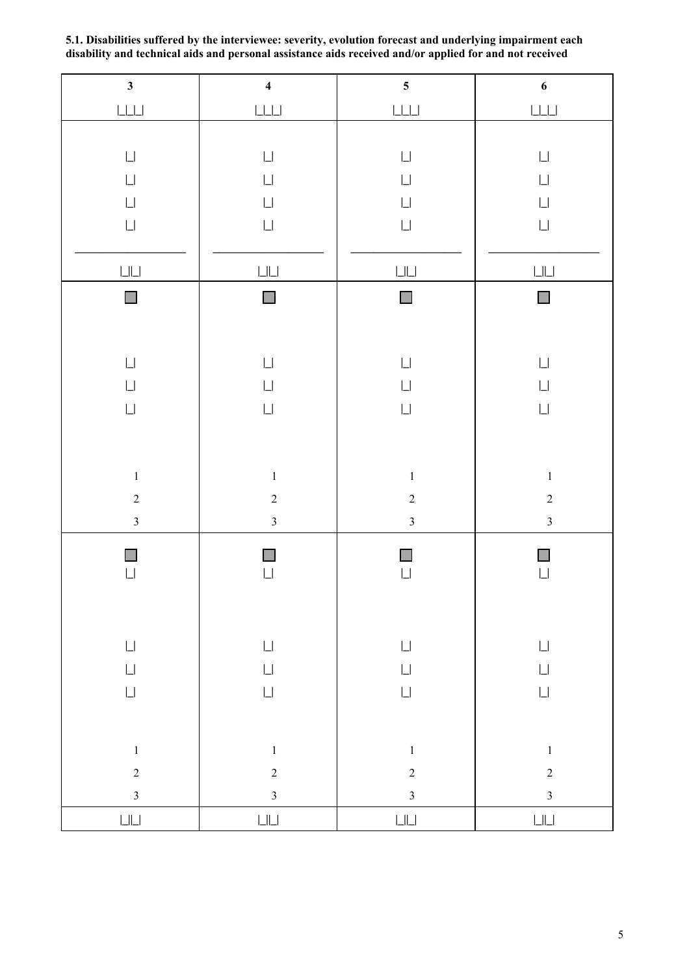| $\mathbf{3}$                                                   | $\overline{\mathbf{4}}$                                        | $\overline{\mathbf{5}}$                                        | $\boldsymbol{6}$                                               |
|----------------------------------------------------------------|----------------------------------------------------------------|----------------------------------------------------------------|----------------------------------------------------------------|
|                                                                |                                                                | $\boxed{\underline{\qquad }}\underline{\qquad \qquad }$        | $\boxed{\underline{\qquad }}$                                  |
|                                                                |                                                                |                                                                |                                                                |
| $\mathop{\Box}$                                                | $\mathop{\Box}$                                                | $\mathop{\Box}$                                                | $\mathop{\Box}$                                                |
| $\mathop{\Box}$                                                | $\mathop{\Box}$                                                | $\mathop{\Box}$                                                | $\mathop{\Box}$                                                |
| $\Box$                                                         | $\mathop{\Box}$                                                | $\mathop{\Box}$                                                | $\mathop{\Box}$                                                |
| $\mathop{\Box}$                                                | $\mathop{\Box}$                                                | $\mathop{\Box}$                                                | $\mathop{\Box}$                                                |
|                                                                |                                                                |                                                                |                                                                |
| $\mathop{\hbox{\rm L}}\nolimits\mathop{\hbox{\rm L}}\nolimits$ | $\mathop{\hbox{\rm L}}\nolimits\mathop{\hbox{\rm L}}\nolimits$ | $\mathop{\hbox{\rm L}}\nolimits\mathop{\hbox{\rm L}}\nolimits$ | $\mathop{\Box}\mathop{\Box}$                                   |
| $\mathcal{L}_{\mathcal{A}}$                                    | $\mathcal{C}^{\mathcal{A}}$                                    | $\mathcal{L}_{\mathcal{A}}$                                    | $\overline{\phantom{a}}$                                       |
|                                                                |                                                                |                                                                |                                                                |
| $\mathop{\Box}$                                                | $\mathop{\Box}$                                                | $\mathop{\Box}$                                                | $\mathop{\Box}$                                                |
| $\mathop{\Box}$                                                | $\mathop{\Box}$                                                | $\mathop{\Box}$                                                | $\mathop{\Box}$                                                |
| $\mathop{\Box}$                                                | $\mathop{\Box}$                                                | $\mathop{\Box}$                                                | $\mathop{\Box}$                                                |
|                                                                |                                                                |                                                                |                                                                |
|                                                                |                                                                |                                                                |                                                                |
| $\,1$                                                          | $\,1\,$                                                        | $\,1\,$                                                        | $\,1$                                                          |
| $\overline{c}$                                                 | $\sqrt{2}$                                                     | $\sqrt{2}$                                                     | $\overline{c}$                                                 |
| $\overline{\mathbf{3}}$                                        | $\overline{3}$                                                 | $\overline{\mathbf{3}}$                                        | $\overline{\mathbf{3}}$                                        |
| $\Box$                                                         |                                                                | $\Box$                                                         | П                                                              |
| $\Box$                                                         | $\Box$                                                         | $\Box$                                                         | $\mathop{\Box}$                                                |
|                                                                |                                                                |                                                                |                                                                |
|                                                                |                                                                |                                                                |                                                                |
| $\mathop{\Box}$                                                | $\mathop{\Box}$                                                | $\mathop{\Box}$                                                | $\mathop{\Box}$                                                |
| $\mathop{\Box}$                                                | $\mathop{\Box}$                                                | $\mathop{\Box}$                                                | $\mathop{\Box}$                                                |
| $\mathop{\Box}$                                                | $\mathop{\Box}$                                                | $\mathop{\Box}$                                                | $\mathop{\Box}$                                                |
|                                                                |                                                                |                                                                |                                                                |
| $\,1\,$                                                        | $\,1\,$                                                        | $\,1\,$                                                        | $\,1$                                                          |
| $\overline{c}$                                                 | $\sqrt{2}$                                                     | $\sqrt{2}$                                                     | $\overline{c}$                                                 |
| $\overline{\mathbf{3}}$                                        | $\overline{\mathbf{3}}$                                        | $\overline{\mathbf{3}}$                                        | $\overline{3}$                                                 |
| $\mathop{\hbox{\rm L}}\nolimits\mathop{\hbox{\rm L}}\nolimits$ | $\mathop{\hbox{\rm L}}\nolimits\mathop{\hbox{\rm L}}\nolimits$ | $\mathop{\hbox{\rm L}}\nolimits\mathop{\hbox{\rm L}}\nolimits$ | $\mathop{\hbox{\rm L}}\nolimits\mathop{\hbox{\rm L}}\nolimits$ |

**5.1. Disabilities suffered by the interviewee: severity, evolution forecast and underlying impairment each disability and technical aids and personal assistance aids received and/or applied for and not received**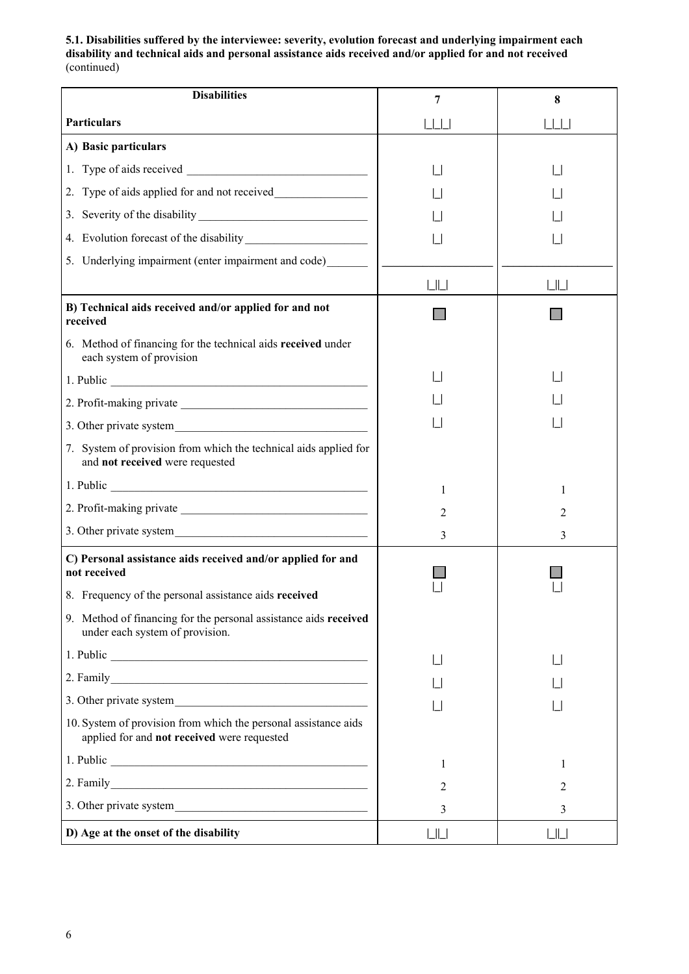**5.1. Disabilities suffered by the interviewee: severity, evolution forecast and underlying impairment each disability and technical aids and personal assistance aids received and/or applied for and not received** (continued)

| <b>Disabilities</b>                                                                                                                                                                                                            | 7                 | 8                      |
|--------------------------------------------------------------------------------------------------------------------------------------------------------------------------------------------------------------------------------|-------------------|------------------------|
| <b>Particulars</b>                                                                                                                                                                                                             | $\Box$            | $\vert \vert \vert$    |
| A) Basic particulars                                                                                                                                                                                                           |                   |                        |
|                                                                                                                                                                                                                                |                   |                        |
| 2. Type of aids applied for and not received                                                                                                                                                                                   |                   |                        |
|                                                                                                                                                                                                                                |                   |                        |
|                                                                                                                                                                                                                                |                   |                        |
| 5. Underlying impairment (enter impairment and code)                                                                                                                                                                           |                   |                        |
|                                                                                                                                                                                                                                | $\lfloor \rfloor$ | $\mathsf{L}\mathsf{L}$ |
| B) Technical aids received and/or applied for and not<br>received                                                                                                                                                              |                   |                        |
| 6. Method of financing for the technical aids received under<br>each system of provision                                                                                                                                       |                   |                        |
|                                                                                                                                                                                                                                |                   |                        |
|                                                                                                                                                                                                                                |                   |                        |
|                                                                                                                                                                                                                                |                   |                        |
| 7. System of provision from which the technical aids applied for<br>and not received were requested                                                                                                                            |                   |                        |
| 1. Public contract to the contract of the contract of the contract of the contract of the contract of the contract of the contract of the contract of the contract of the contract of the contract of the contract of the cont | 1                 | 1                      |
|                                                                                                                                                                                                                                | $\overline{2}$    | 2                      |
|                                                                                                                                                                                                                                | 3                 | 3                      |
| C) Personal assistance aids received and/or applied for and<br>not received                                                                                                                                                    |                   |                        |
| 8. Frequency of the personal assistance aids received                                                                                                                                                                          |                   |                        |
| 9. Method of financing for the personal assistance aids received<br>under each system of provision.                                                                                                                            |                   |                        |
|                                                                                                                                                                                                                                |                   |                        |
|                                                                                                                                                                                                                                |                   |                        |
|                                                                                                                                                                                                                                |                   |                        |
| 10. System of provision from which the personal assistance aids<br>applied for and not received were requested                                                                                                                 |                   |                        |
|                                                                                                                                                                                                                                | 1                 | 1                      |
|                                                                                                                                                                                                                                | 2                 | 2                      |
|                                                                                                                                                                                                                                | 3                 | 3                      |
| D) Age at the onset of the disability                                                                                                                                                                                          | LШ                | $L$   $L$              |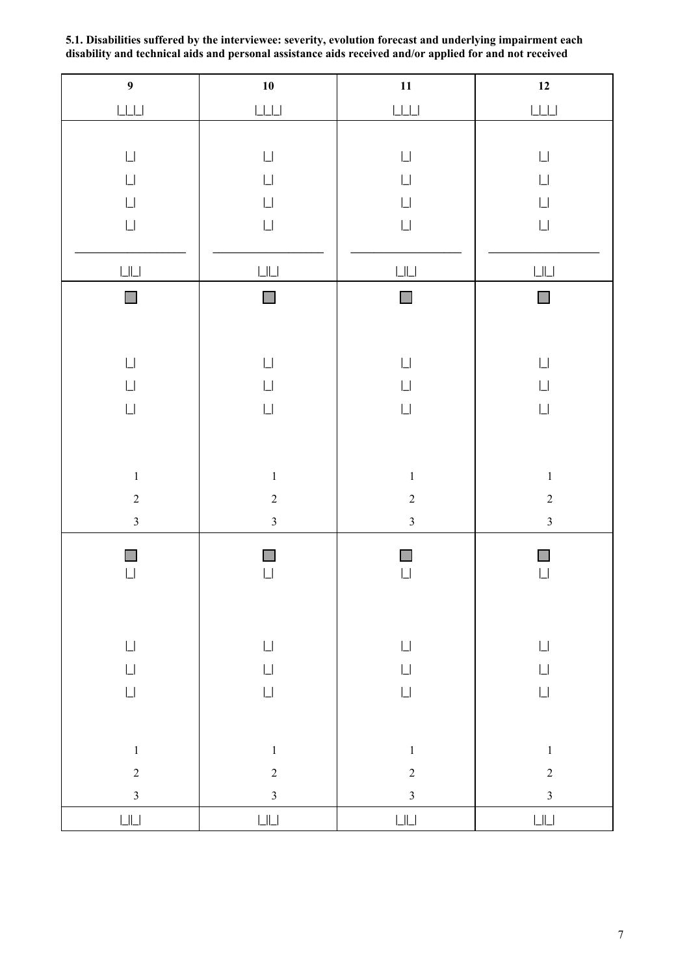| $\overline{9}$                                                 | ${\bf 10}$                                                     | ${\bf 11}$                                                     | $12$                                                           |
|----------------------------------------------------------------|----------------------------------------------------------------|----------------------------------------------------------------|----------------------------------------------------------------|
| $\boxed{\underline{\qquad }}$                                  |                                                                |                                                                | $\boxed{\underline{\qquad }}$                                  |
|                                                                |                                                                |                                                                |                                                                |
| $\mathop{\Box}$                                                | $\mathop{\Box}$                                                | $\mathop{\Box}$                                                | $\mathop{\Box}$                                                |
| $\mathop{\Box}$                                                | $\mathop{\Box}$                                                | $\mathop{\Box}$                                                | $\mathop{\Box}$                                                |
| $\mathop{\Box}$                                                | $\mathop{\Box}$                                                | $\mathop{\Box}$                                                | $\mathop{\Box}$                                                |
| $\mathop{\Box}$                                                | $\mathop{\Box}$                                                | $\mathop{\Box}$                                                | $\mathop{\Box}$                                                |
|                                                                |                                                                |                                                                |                                                                |
| $\mathop{\hbox{\rm L}}\nolimits\mathop{\hbox{\rm L}}\nolimits$ | $\mathop{\hbox{\rm L}}\nolimits\mathop{\hbox{\rm L}}\nolimits$ | $\mathop{\hbox{\rm L}}\nolimits\mathop{\hbox{\rm L}}\nolimits$ | $\mathop{\hbox{\rm L}}\nolimits\mathop{\hbox{\rm L}}\nolimits$ |
| $\Box$                                                         | $\mathcal{L}_{\mathcal{A}}$                                    | П                                                              | $\Box$                                                         |
|                                                                |                                                                |                                                                |                                                                |
|                                                                |                                                                |                                                                |                                                                |
| $\mathop{\Box}$                                                | $\mathop{\Box}$                                                | $\mathop{\Box}$                                                | $\Box$                                                         |
| $\mathop{\Box}$                                                | $\mathop{\Box}$                                                | $\mathop{\Box}$                                                | $\mathop{\Box}$                                                |
| $\mathop{\Box}$                                                | $\mathop{\Box}$                                                | $\mathop{\Box}$                                                | $\mathop{\Box}$                                                |
|                                                                |                                                                |                                                                |                                                                |
|                                                                |                                                                |                                                                |                                                                |
| $\,1$                                                          | $\,1\,$                                                        | $\,1$                                                          | $\,1$                                                          |
| $\overline{c}$                                                 | $\sqrt{2}$                                                     | $\sqrt{2}$                                                     | $\overline{c}$                                                 |
| $\overline{\mathbf{3}}$                                        | $\overline{\mathbf{3}}$                                        | $\overline{\mathbf{3}}$                                        | $\overline{\mathbf{3}}$                                        |
| $\Box$                                                         |                                                                |                                                                | $\Box$                                                         |
| $\mathop{\Box}$                                                | $\Box$                                                         |                                                                | $\mathop{\Box}$                                                |
|                                                                |                                                                |                                                                |                                                                |
|                                                                |                                                                |                                                                |                                                                |
| $\mathop{\Box}$                                                | $\mathop{\Box}$                                                | $\mathop{\Box}$                                                | $\mathop{\Box}$                                                |
| $\mathop{\Box}$                                                | $\mathop{\Box}$                                                | $\mathop{\Box}$                                                | $\mathop{\Box}$                                                |
| $\mathop{\Box}$                                                | $\mathop{\Box}$                                                | $\Box$                                                         | $\mathop{\Box}$                                                |
|                                                                |                                                                |                                                                |                                                                |
| $\,1$                                                          | $\,1\,$                                                        | $\,1\,$                                                        | $\,1$                                                          |
| $\overline{c}$                                                 | $\overline{c}$                                                 | $\sqrt{2}$                                                     | $\overline{c}$                                                 |
| $\overline{\mathbf{3}}$                                        | $\overline{3}$                                                 | $\overline{\mathbf{3}}$                                        | $\overline{3}$                                                 |
| $\boxed{\phantom{1}}$                                          | $\Box \Box$                                                    | $\boxed{\phantom{1}}$                                          | LLL                                                            |

**5.1. Disabilities suffered by the interviewee: severity, evolution forecast and underlying impairment each disability and technical aids and personal assistance aids received and/or applied for and not received**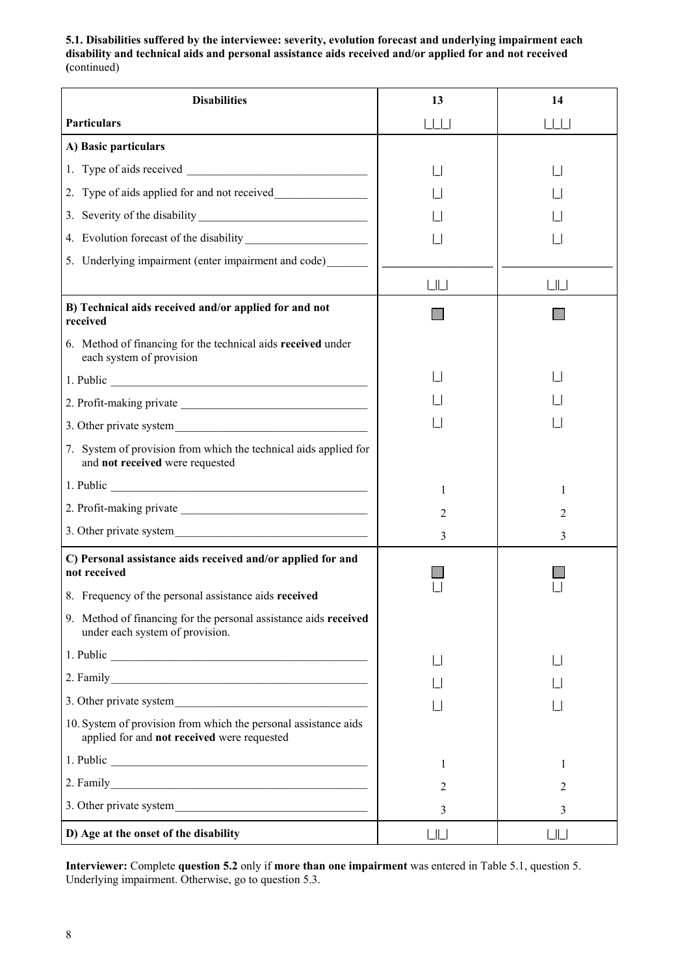**5.1. Disabilities suffered by the interviewee: severity, evolution forecast and underlying impairment each disability and technical aids and personal assistance aids received and/or applied for and not received (**continued)

| <b>Disabilities</b>                                                                                            | 13                | 14                  |
|----------------------------------------------------------------------------------------------------------------|-------------------|---------------------|
| <b>Particulars</b>                                                                                             | $\Box$            | $\vert \vert \vert$ |
| A) Basic particulars                                                                                           |                   |                     |
|                                                                                                                |                   |                     |
| 2. Type of aids applied for and not received                                                                   |                   |                     |
| 3. Severity of the disability                                                                                  |                   |                     |
|                                                                                                                |                   |                     |
| 5. Underlying impairment (enter impairment and code)                                                           |                   |                     |
|                                                                                                                | LIL               | L                   |
| B) Technical aids received and/or applied for and not<br>received                                              |                   |                     |
| 6. Method of financing for the technical aids received under<br>each system of provision                       |                   |                     |
|                                                                                                                |                   |                     |
|                                                                                                                |                   |                     |
|                                                                                                                |                   |                     |
| 7. System of provision from which the technical aids applied for<br>and not received were requested            |                   |                     |
| 1. Public                                                                                                      | 1                 | 1                   |
|                                                                                                                | 2                 | $\overline{c}$      |
| 3. Other private system                                                                                        | 3                 | 3                   |
| C) Personal assistance aids received and/or applied for and<br>not received                                    |                   |                     |
| 8. Frequency of the personal assistance aids received                                                          |                   |                     |
| 9. Method of financing for the personal assistance aids received<br>under each system of provision.            |                   |                     |
|                                                                                                                |                   |                     |
|                                                                                                                |                   |                     |
|                                                                                                                |                   |                     |
| 10. System of provision from which the personal assistance aids<br>applied for and not received were requested |                   |                     |
|                                                                                                                | 1                 | 1                   |
|                                                                                                                | 2                 | 2                   |
|                                                                                                                | 3                 | 3                   |
| D) Age at the onset of the disability                                                                          | $\lfloor \rfloor$ | $L$   $L$           |

**Interviewer:** Complete **question 5.2** only if **more than one impairment** was entered in Table 5.1, question 5. Underlying impairment. Otherwise, go to question 5.3.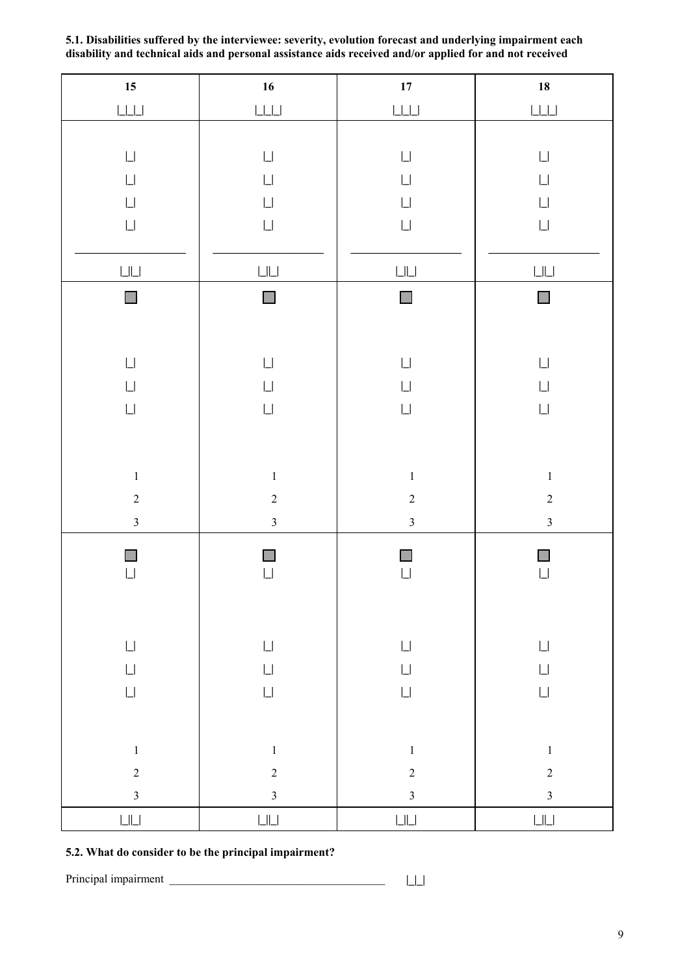| $15\phantom{.0}$                                                                                | 16                                                                                                  | ${\bf 17}$                                                                                                                                 | ${\bf 18}$                                                                                                                                 |
|-------------------------------------------------------------------------------------------------|-----------------------------------------------------------------------------------------------------|--------------------------------------------------------------------------------------------------------------------------------------------|--------------------------------------------------------------------------------------------------------------------------------------------|
| $\boxed{\underline{\qquad }}\underline{\qquad \qquad }$                                         |                                                                                                     | $\bigsqcup \bigsqcup$                                                                                                                      | $\boxed{\underline{\qquad \qquad }}$                                                                                                       |
| $\mathop{\Box}$<br>$\mathop{\Box}$<br>$\Box$<br>$\mathop{\Box}$<br>$\mathop{\Box}\mathop{\Box}$ | $\mathop{\Box}$<br>$\lfloor \rfloor$<br>$\mathop{\Box}$<br>$\mathop{\Box}$<br>$\bigsqcup \bigsqcup$ | $\mathop{\Box}$<br>$\mathop{\Box}$<br>$\mathop{\Box}$<br>$\mathop{\Box}$<br>$\mathop{\hbox{\rm L}}\nolimits\mathop{\hbox{\rm L}}\nolimits$ | $\mathop{\Box}$<br>$\mathop{\Box}$<br>$\mathop{\Box}$<br>$\mathop{\Box}$<br>$\mathop{\hbox{\rm L}}\nolimits\mathop{\hbox{\rm L}}\nolimits$ |
| П                                                                                               | П                                                                                                   | $\mathcal{L}_{\mathcal{A}}$                                                                                                                | $\Box$                                                                                                                                     |
| $\mathop{\Box}$<br>$\mathop{\Box}$<br>$\mathop{\Box}$                                           | $\mathop{\Box}$<br>$\mathop{\Box}$<br>$\mathop{\Box}$                                               | $\mathop{\Box}$<br>$\mathop{\Box}$<br>$\mathop{\Box}$                                                                                      | $\mathop{\Box}$<br>$\mathop{\Box}$<br>$\mathop{\Box}$                                                                                      |
| $\,1$                                                                                           | $\,1$                                                                                               | $\,1\,$                                                                                                                                    | $\,1$                                                                                                                                      |
| $\overline{c}$                                                                                  | $\overline{c}$                                                                                      | $\overline{c}$                                                                                                                             | $\overline{c}$                                                                                                                             |
| $\overline{\mathbf{3}}$                                                                         | $\overline{\mathbf{3}}$                                                                             | $\overline{\mathbf{3}}$                                                                                                                    | $\overline{\mathbf{3}}$                                                                                                                    |
| $\mathop{\Box}$                                                                                 | $\Box$                                                                                              | $\Box$                                                                                                                                     | $\mathop{\Box}$                                                                                                                            |
| $\mathop{\Box}$                                                                                 | $\mathop{\Box}$                                                                                     | $\mathop{\Box}$                                                                                                                            | $\mathop{\Box}$                                                                                                                            |
| $\mathop{\Box}$                                                                                 | $\mathop{\Box}$                                                                                     | $\mathop{\Box}$                                                                                                                            | $\mathop{\Box}$                                                                                                                            |
| $\mathop{\Box}$                                                                                 | $\mathop{\Box}$                                                                                     | $\mathop{\Box}$                                                                                                                            | $\mathop{\Box}$                                                                                                                            |
|                                                                                                 |                                                                                                     |                                                                                                                                            |                                                                                                                                            |
| $\,1$                                                                                           | $\,1\,$                                                                                             | $\,1$                                                                                                                                      | $\,1$                                                                                                                                      |
| $\overline{c}$<br>$\overline{\mathbf{3}}$                                                       | $\sqrt{2}$                                                                                          | $\overline{c}$<br>$\overline{3}$                                                                                                           | $\overline{c}$<br>$\overline{\mathbf{3}}$                                                                                                  |
| $\mathop{\hbox{\rm L}}\nolimits\mathop{\hbox{\rm L}}\nolimits$                                  | $\overline{3}$<br>$\mathop{\hbox{\rm L}}\nolimits\mathop{\hbox{\rm L}}\nolimits$                    | $\mathop{\hbox{\rm L}}\nolimits\mathop{\hbox{\rm L}}\nolimits$                                                                             | $\mathop{\hbox{\rm L}}\nolimits\mathop{\hbox{\rm L}}\nolimits$                                                                             |

**5.1. Disabilities suffered by the interviewee: severity, evolution forecast and underlying impairment each disability and technical aids and personal assistance aids received and/or applied for and not received**

# **5.2. What do consider to be the principal impairment?**

Principal impairment \_\_\_\_\_\_\_\_\_\_\_\_\_\_\_\_\_\_\_\_\_\_\_\_\_\_\_\_\_\_\_\_\_\_\_\_\_ **|\_|\_|**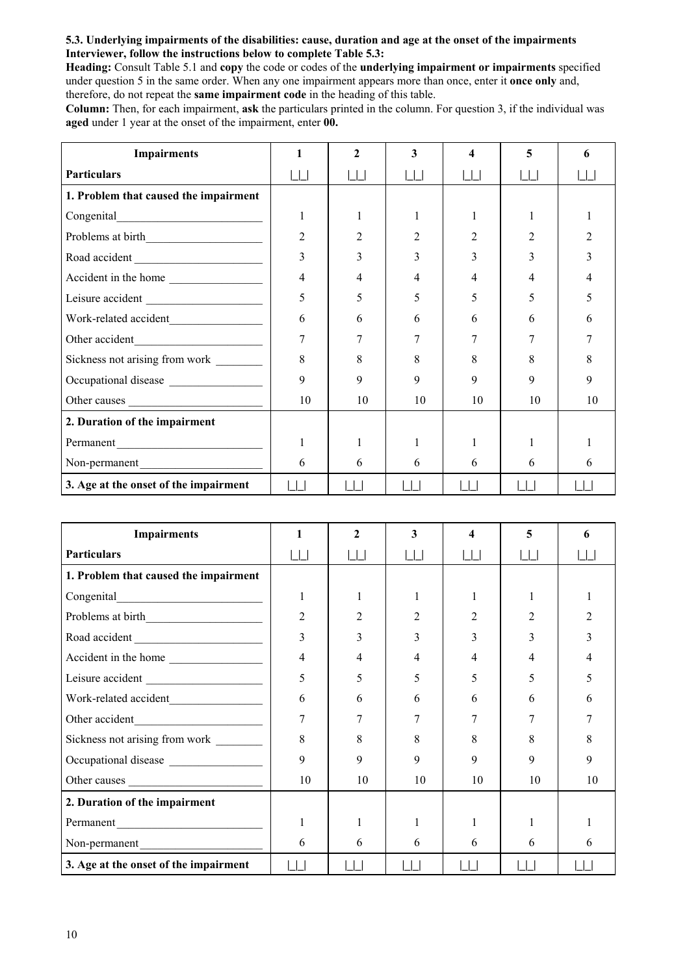## **5.3. Underlying impairments of the disabilities: cause, duration and age at the onset of the impairments Interviewer, follow the instructions below to complete Table 5.3:**

**Heading:** Consult Table 5.1 and **copy** the code or codes of the **underlying impairment or impairments** specified under question 5 in the same order. When any one impairment appears more than once, enter it **once only** and, therefore, do not repeat the **same impairment code** in the heading of this table.

**Column:** Then, for each impairment, **ask** the particulars printed in the column. For question 3, if the individual was **aged** under 1 year at the onset of the impairment, enter **00.**

| <b>Impairments</b>                                                                                                                     |                | $\mathcal{L}$ | 3      | 4           | 5  | 6  |
|----------------------------------------------------------------------------------------------------------------------------------------|----------------|---------------|--------|-------------|----|----|
| <b>Particulars</b>                                                                                                                     |                |               | $\Box$ |             |    |    |
| 1. Problem that caused the impairment                                                                                                  |                |               |        |             |    |    |
|                                                                                                                                        |                |               |        |             |    |    |
|                                                                                                                                        | $\overline{2}$ |               |        |             |    |    |
|                                                                                                                                        | 3              |               |        |             | 3  |    |
| Accident in the home                                                                                                                   | 4              |               | 4      |             |    |    |
| Leisure accident                                                                                                                       | 5              | 5             | 5      | $\varsigma$ | 5  |    |
| Work-related accident                                                                                                                  | 6              | 6             | 6      | 6           | 6  |    |
| Other accident<br><u> 1989 - Johann Barn, mars eta bainar eta industrial eta erromania eta erromania eta erromania eta erromania e</u> | 7              |               |        |             |    |    |
| Sickness not arising from work ________                                                                                                | 8              | 8             | 8      | 8           | 8  | 8  |
| Occupational disease                                                                                                                   | 9              | 9             | 9      | 9           | 9  | Q  |
| Other causes                                                                                                                           | 10             | 10            | 10     | 10          | 10 | 10 |
| 2. Duration of the impairment                                                                                                          |                |               |        |             |    |    |
| Permanent                                                                                                                              |                |               |        |             |    |    |
| Non-permanent                                                                                                                          | 6              | 6             | 6      | 6           | 6  | 6  |
| 3. Age at the onset of the impairment                                                                                                  |                |               |        |             |    |    |

| <b>Impairments</b>                     |                | $\mathbf{2}$ | 3               | 4  | 5  |    |
|----------------------------------------|----------------|--------------|-----------------|----|----|----|
| <b>Particulars</b>                     | $\Box$         |              | $\vert \ \vert$ |    |    |    |
| 1. Problem that caused the impairment  |                |              |                 |    |    |    |
|                                        | 1              |              |                 |    |    |    |
|                                        | $\overline{2}$ | 2            |                 | 2  | 2  |    |
| Road accident                          | 3              |              | 3               | 3  | 3  |    |
| Accident in the home                   | 4              | 4            | 4               | 4  | 4  |    |
| Leisure accident                       | 5              | 5            | 5               | 5  | 5  |    |
|                                        | 6              | 6            | 6               | 6  | 6  | h  |
|                                        | 7              |              |                 |    |    |    |
| Sickness not arising from work _______ | 8              | 8            | 8               | 8  | 8  | 8  |
| Occupational disease                   | 9              | 9            | 9               | 9  | 9  | 9  |
|                                        | 10             | 10           | 10              | 10 | 10 | 10 |
| 2. Duration of the impairment          |                |              |                 |    |    |    |
| Permanent                              | 1              |              |                 |    |    |    |
| Non-permanent                          | 6              | 6            | 6               | 6  | 6  | 6  |
| 3. Age at the onset of the impairment  |                |              |                 |    |    |    |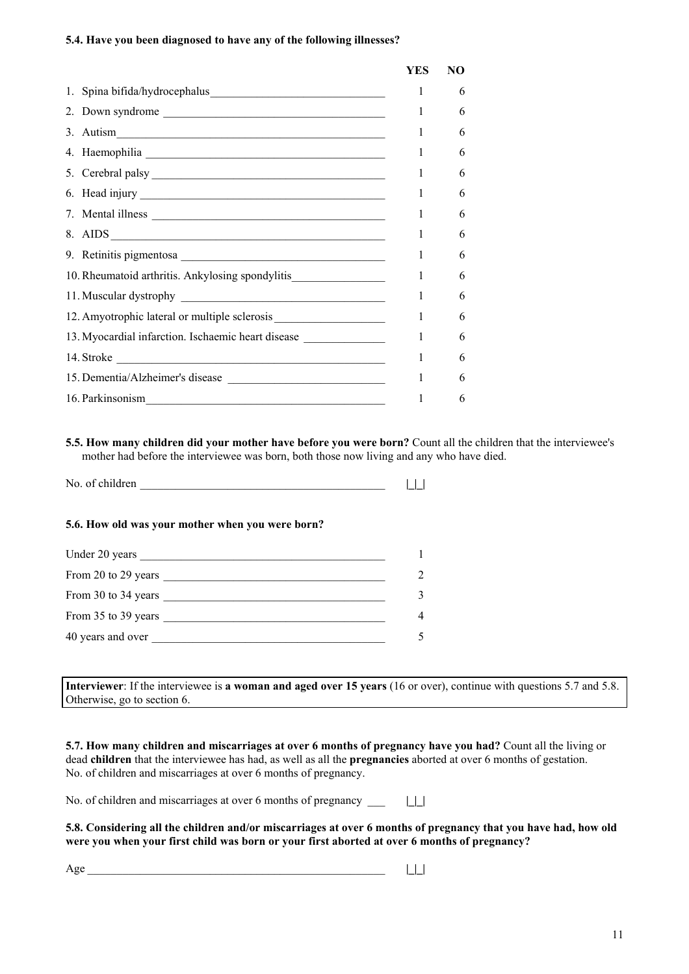## **5.4. Have you been diagnosed to have any of the following illnesses?**

|                                                                                  | YES | NO |
|----------------------------------------------------------------------------------|-----|----|
|                                                                                  | L   | 6  |
|                                                                                  | 1   | 6  |
| 3. Autism $\frac{1}{\sqrt{1-\frac{1}{2}}\left\vert \frac{1}{2}\right\vert }$     | 1   | 6  |
|                                                                                  | 1   | 6  |
| 5. Cerebral palsy                                                                | 1   | 6  |
|                                                                                  | 1   | 6  |
|                                                                                  | 1   | 6  |
| 8. AIDS                                                                          | 1   | 6  |
|                                                                                  | 1   | 6  |
| 10. Rheumatoid arthritis. Ankylosing spondylitis________________________________ | 1   | 6  |
|                                                                                  | 1   | 6  |
| 12. Amyotrophic lateral or multiple sclerosis                                    | 1   | 6  |
| 13. Myocardial infarction. Ischaemic heart disease                               | 1   | 6  |
|                                                                                  | 1   | 6  |
| 15. Dementia/Alzheimer's disease                                                 | 1   | 6  |
| 16. Parkinsonism                                                                 | 1   | 6  |
|                                                                                  |     |    |

**5.5. How many children did your mother have before you were born?** Count all the children that the interviewee's mother had before the interviewee was born, both those now living and any who have died.

| No. of children |  |  |  |
|-----------------|--|--|--|
|-----------------|--|--|--|

## **5.6. How old was your mother when you were born?**

| Under 20 years      |               |
|---------------------|---------------|
| From 20 to 29 years | $\mathcal{D}$ |
| From 30 to 34 years | 3             |
| From 35 to 39 years | 4             |
| 40 years and over   |               |

**Interviewer**: If the interviewee is **a woman and aged over 15 years** (16 or over), continue with questions 5.7 and 5.8. Otherwise, go to section 6.

**5.7. How many children and miscarriages at over 6 months of pregnancy have you had?** Count all the living or dead **children** that the interviewee has had, as well as all the **pregnancies** aborted at over 6 months of gestation. No. of children and miscarriages at over 6 months of pregnancy.

No. of children and miscarriages at over 6 months of pregnancy \_\_\_ **|\_|\_|**

**5.8. Considering all the children and/or miscarriages at over 6 months of pregnancy that you have had, how old were you when your first child was born or your first aborted at over 6 months of pregnancy?**

Age \_\_\_\_\_\_\_\_\_\_\_\_\_\_\_\_\_\_\_\_\_\_\_\_\_\_\_\_\_\_\_\_\_\_\_\_\_\_\_\_\_\_\_\_\_\_\_\_\_\_\_ **|\_|\_|**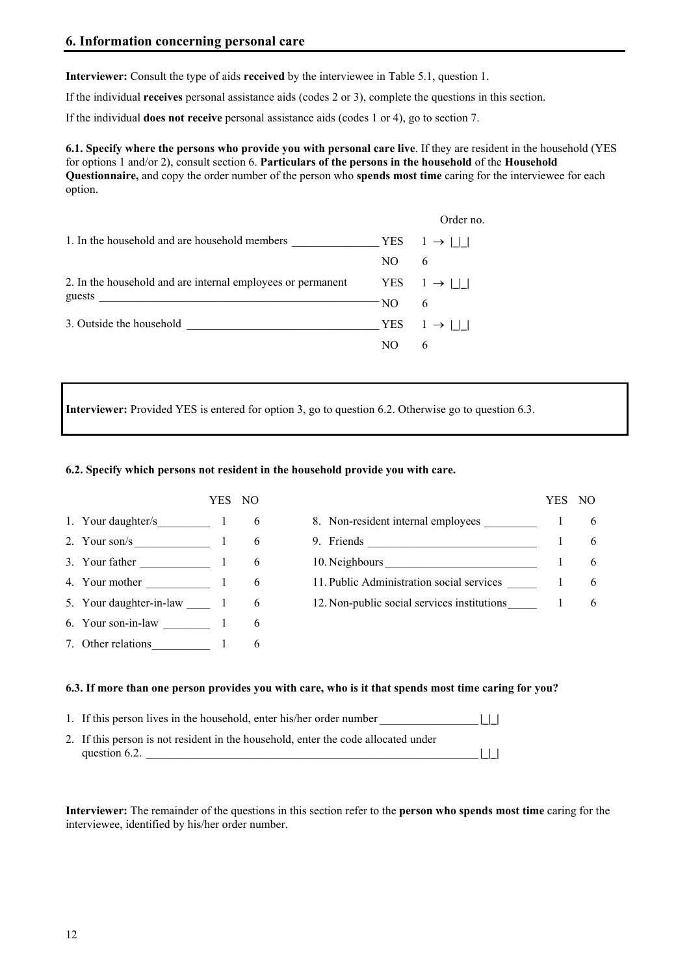**Interviewer:** Consult the type of aids **received** by the interviewee in Table 5.1, question 1.

If the individual **receives** personal assistance aids (codes 2 or 3), complete the questions in this section.

If the individual **does not receive** personal assistance aids (codes 1 or 4), go to section 7.

**6.1. Specify where the persons who provide you with personal care live**. If they are resident in the household (YES for options 1 and/or 2), consult section 6. **Particulars of the persons in the household** of the **Household Questionnaire,** and copy the order number of the person who **spends most time** caring for the interviewee for each option.

|                                                             |      | Order no.                     |
|-------------------------------------------------------------|------|-------------------------------|
| 1. In the household and are household members               |      | $YES \quad 1 \rightarrow    $ |
|                                                             | NO.  | 6                             |
| 2. In the household and are internal employees or permanent |      | YES $1 \rightarrow   \cdot  $ |
|                                                             | - NO | 6                             |
| 3. Outside the household                                    |      | YES $1 \rightarrow 11$        |
|                                                             | NΟ   | 6                             |

**Interviewer:** Provided YES is entered for option 3, go to question 6.2. Otherwise go to question 6.3.

## **6.2. Specify which persons not resident in the household provide you with care.**

|                         | YES. | NO. |                                             | YES | NO. |
|-------------------------|------|-----|---------------------------------------------|-----|-----|
| 1. Your daughter/s      |      | 6   | 8. Non-resident internal employees          |     | 6   |
| 2. Your son/s 1         |      | 6   |                                             |     | 6   |
| 3. Your father 1        |      | 6   | 10. Neighbours                              |     | 6   |
| 4. Your mother 1        |      | 6   | 11. Public Administration social services   |     | 6   |
| 5. Your daughter-in-law |      | 6   | 12. Non-public social services institutions |     | 6   |
| 6. Your son-in-law 1    |      | 6   |                                             |     |     |
| 7. Other relations      |      | 6   |                                             |     |     |

#### **6.3. If more than one person provides you with care, who is it that spends most time caring for you?**

| 1. If this person lives in the household, enter his/her order number               | $\perp$ |  |
|------------------------------------------------------------------------------------|---------|--|
| 2. If this person is not resident in the household, enter the code allocated under |         |  |
| question 6.2.                                                                      |         |  |

**Interviewer:** The remainder of the questions in this section refer to the **person who spends most time** caring for the interviewee, identified by his/her order number.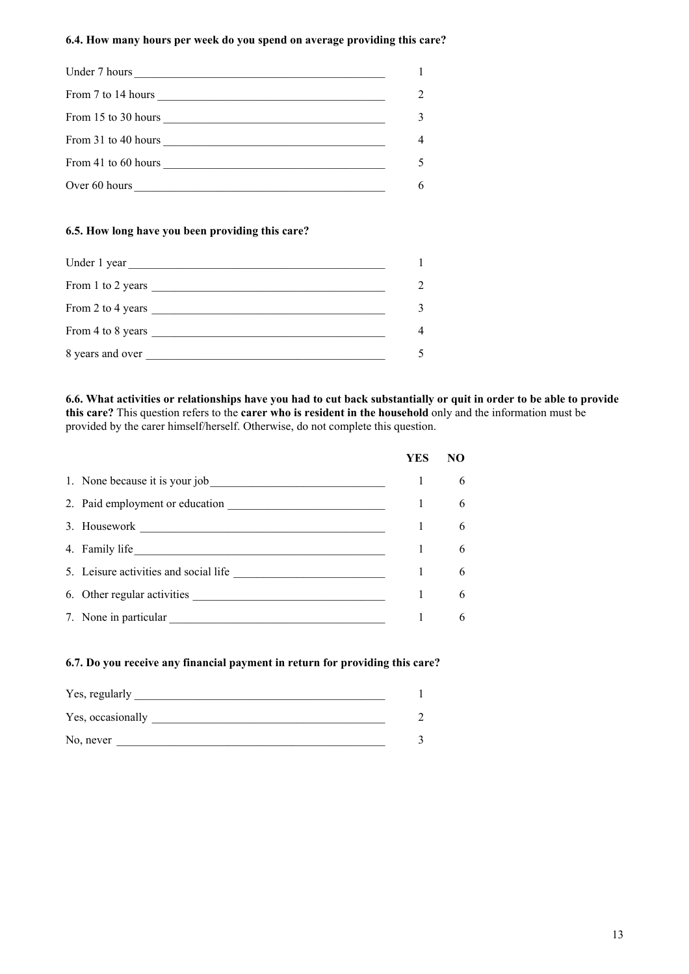## **6.4. How many hours per week do you spend on average providing this care?**

| Under 7 hours                                                                                                                                                                                                                                                                              |  |
|--------------------------------------------------------------------------------------------------------------------------------------------------------------------------------------------------------------------------------------------------------------------------------------------|--|
| From 7 to 14 hours $\frac{1}{2}$ and $\frac{1}{2}$ and $\frac{1}{2}$ and $\frac{1}{2}$ and $\frac{1}{2}$ and $\frac{1}{2}$ and $\frac{1}{2}$ and $\frac{1}{2}$ and $\frac{1}{2}$ and $\frac{1}{2}$ and $\frac{1}{2}$ and $\frac{1}{2}$ and $\frac{1}{2}$ and $\frac{1}{2}$ and $\frac{1}{$ |  |
| From 15 to 30 hours<br><u> 1989 - Andrea Stadt Britain, fransk politik amerikansk politik (</u>                                                                                                                                                                                            |  |
| From 31 to 40 hours and the state of the state of the state of the state of the state of the state of the state of the state of the state of the state of the state of the state of the state of the state of the state of the                                                             |  |
| From 41 to 60 hours                                                                                                                                                                                                                                                                        |  |
| Over 60 hours                                                                                                                                                                                                                                                                              |  |

#### **6.5. How long have you been providing this care?**

| Under 1 year      |              |
|-------------------|--------------|
| From 1 to 2 years | 2            |
| From 2 to 4 years | $\mathbf{3}$ |
| From 4 to 8 years | 4            |
| 8 years and over  |              |

**6.6. What activities or relationships have you had to cut back substantially or quit in order to be able to provide this care?** This question refers to the **carer who is resident in the household** only and the information must be provided by the carer himself/herself. Otherwise, do not complete this question.

|                                       | YES | NO |
|---------------------------------------|-----|----|
| 1. None because it is your job        |     | 6  |
| 2. Paid employment or education       |     | 6  |
| 3. Housework                          |     | 6  |
| 4. Family life                        |     | 6  |
| 5. Leisure activities and social life |     | 6  |
| 6. Other regular activities           |     | 6  |
| 7. None in particular                 |     | 6  |

#### **6.7. Do you receive any financial payment in return for providing this care?**

| Yes, regularly    |  |
|-------------------|--|
| Yes, occasionally |  |
| No, never         |  |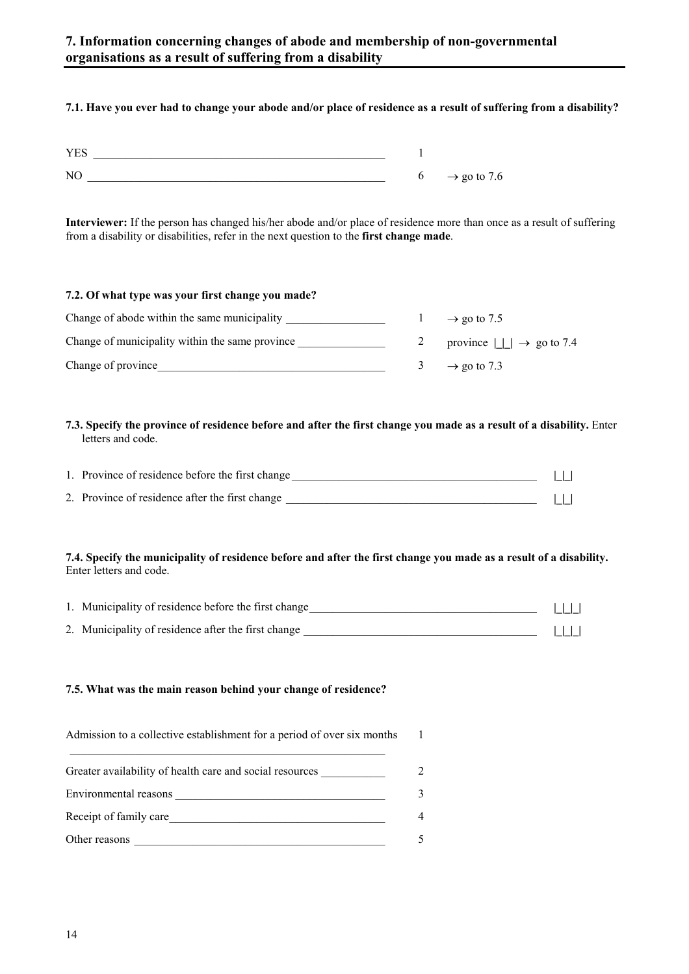# **7.1. Have you ever had to change your abode and/or place of residence as a result of suffering from a disability?**

| <b>YES</b>     |   |                         |
|----------------|---|-------------------------|
| N <sub>C</sub> | O | $\rightarrow$ go to 7.6 |

**Interviewer:** If the person has changed his/her abode and/or place of residence more than once as a result of suffering from a disability or disabilities, refer in the next question to the **first change made**.

| 7.2. Of what type was your first change you made? |   |                                              |
|---------------------------------------------------|---|----------------------------------------------|
| Change of abode within the same municipality      |   | $\rightarrow$ go to 7.5                      |
| Change of municipality within the same province   |   | province $   \cdot    \rightarrow$ go to 7.4 |
| Change of province                                | 3 | $\rightarrow$ go to 7.3                      |

## **7.3. Specify the province of residence before and after the first change you made as a result of a disability.** Enter letters and code.

| 1. Province of residence before the first change |  |
|--------------------------------------------------|--|
| 2. Province of residence after the first change  |  |

## **7.4. Specify the municipality of residence before and after the first change you made as a result of a disability.** Enter letters and code.

| 1. Municipality of residence before the first change |  |
|------------------------------------------------------|--|
| 2. Municipality of residence after the first change  |  |

## **7.5. What was the main reason behind your change of residence?**

Admission to a collective establishment for a period of over six months  $\mathcal{L}_\text{max}$  and the contract of the contract of the contract of the contract of the contract of the contract of the contract of the contract of the contract of the contract of the contract of the contract of the contrac 1

| Greater availability of health care and social resources |             |
|----------------------------------------------------------|-------------|
| Environmental reasons                                    | $\mathbf 3$ |
| Receipt of family care                                   | 4           |
| Other reasons                                            |             |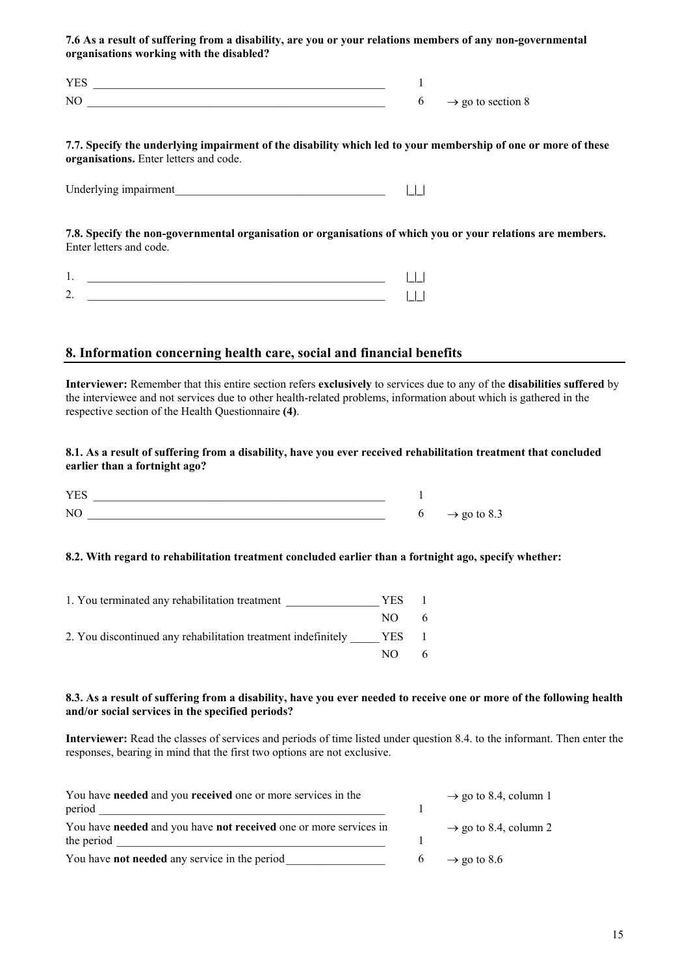**7.6 As a result of suffering from a disability, are you or your relations members of any non-governmental organisations working with the disabled?**

| VE <sup>2</sup>            |                               |
|----------------------------|-------------------------------|
| $\overline{\rm M}$<br>11 L | $\rightarrow$ go to section 8 |

#### **7.7. Specify the underlying impairment of the disability which led to your membership of one or more of these organisations.** Enter letters and code.

Underlying impairment\_\_\_\_\_\_\_\_\_\_\_\_\_\_\_\_\_\_\_\_\_\_\_\_\_\_\_\_\_\_\_\_\_\_\_\_ **|\_|\_|**

**7.8. Specify the non-governmental organisation or organisations of which you or your relations are members.** Enter letters and code.

# **8. Information concerning health care, social and financial benefits**

**Interviewer:** Remember that this entire section refers **exclusively** to services due to any of the **disabilities suffered** by the interviewee and not services due to other health-related problems, information about which is gathered in the respective section of the Health Questionnaire **(4)**.

## **8.1. As a result of suffering from a disability, have you ever received rehabilitation treatment that concluded earlier than a fortnight ago?**

| V F'<br>. <i>.</i>       |                            |
|--------------------------|----------------------------|
| $\overline{\rm M}$<br>-- | $\rightarrow$ go w.<br>o.J |

## **8.2. With regard to rehabilitation treatment concluded earlier than a fortnight ago, specify whether:**

| 1. You terminated any rehabilitation treatment                | YES.       |    |
|---------------------------------------------------------------|------------|----|
|                                                               | NO.        | -6 |
| 2. You discontinued any rehabilitation treatment indefinitely | <b>YES</b> | -1 |
|                                                               | NO.        | -6 |

#### **8.3. As a result of suffering from a disability, have you ever needed to receive one or more of the following health and/or social services in the specified periods?**

**Interviewer:** Read the classes of services and periods of time listed under question 8.4. to the informant. Then enter the responses, bearing in mind that the first two options are not exclusive.

| You have <b>needed</b> and you <b>received</b> one or more services in the<br>period |                | $\rightarrow$ go to 8.4, column 1 |
|--------------------------------------------------------------------------------------|----------------|-----------------------------------|
| You have needed and you have not received one or more services in<br>the period      |                | $\rightarrow$ go to 8.4, column 2 |
| You have <b>not needed</b> any service in the period                                 | 6 <sup>1</sup> | $\rightarrow$ go to 8.6           |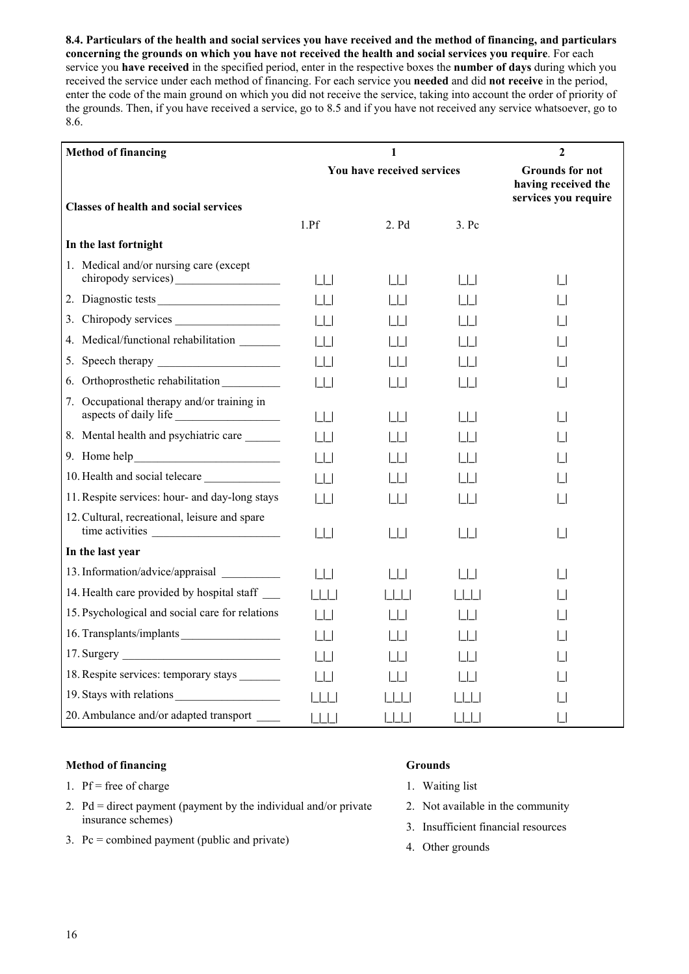**8.4. Particulars of the health and social services you have received and the method of financing, and particulars concerning the grounds on which you have not received the health and social services you require**. For each service you **have received** in the specified period, enter in the respective boxes the **number of days** during which you received the service under each method of financing. For each service you **needed** and did **not receive** in the period, enter the code of the main ground on which you did not receive the service, taking into account the order of priority of the grounds. Then, if you have received a service, go to 8.5 and if you have not received any service whatsoever, go to 8.6.

| <b>Method of financing</b>                                       |                            | 1                               |                                                                       | $\mathbf{2}$ |
|------------------------------------------------------------------|----------------------------|---------------------------------|-----------------------------------------------------------------------|--------------|
|                                                                  | You have received services |                                 | <b>Grounds for not</b><br>having received the<br>services you require |              |
| <b>Classes of health and social services</b>                     |                            |                                 |                                                                       |              |
|                                                                  | 1.Pf                       | 2. Pd                           | 3. Pc                                                                 |              |
| In the last fortnight                                            |                            |                                 |                                                                       |              |
| 1. Medical and/or nursing care (except                           | $\vert \ \vert$            | $\Box$                          | $\Box$                                                                | $\perp$      |
| 2. Diagnostic tests                                              | $\vert \ \vert$            | $\Box$                          | $\Box$                                                                |              |
| Chiropody services<br>3.                                         | $\vert \ \vert$            |                                 |                                                                       |              |
| Medical/functional rehabilitation _______<br>4.                  | $\vert \ \vert$            | $\Box$                          |                                                                       |              |
| 5.                                                               | $\lfloor \rfloor$          |                                 |                                                                       |              |
| 6.                                                               | $\Box$                     | $\Box$                          | $\Box$                                                                |              |
| Occupational therapy and/or training in<br>7.                    | Ш                          | l I I                           | $\Box$                                                                |              |
| 8. Mental health and psychiatric care                            | $\Box$                     | $\Box$                          |                                                                       |              |
|                                                                  | $\Box$                     |                                 |                                                                       |              |
| 10. Health and social telecare                                   | $\lfloor \rfloor$          |                                 |                                                                       |              |
| 11. Respite services: hour- and day-long stays                   | $  \  $                    | 1 I I                           |                                                                       |              |
| 12. Cultural, recreational, leisure and spare<br>time activities | $\lfloor \rfloor$          | $\Box$                          | $\sqcup\!\sqcup$                                                      | $\Box$       |
| In the last year                                                 |                            |                                 |                                                                       |              |
| 13. Information/advice/appraisal                                 | $\lfloor \rfloor$          | $\begin{array}{cc} \end{array}$ | $\Box$                                                                |              |
| 14. Health care provided by hospital staff _____                 | $\vert \vert \vert$        | $\Box$                          | $\Box$                                                                |              |
| 15. Psychological and social care for relations                  | $\vert \ \vert$            |                                 |                                                                       |              |
| 16. Transplants/implants                                         | $\vert \ \vert$            |                                 |                                                                       |              |
|                                                                  | $\vert \ \vert$            |                                 |                                                                       |              |
| 18. Respite services: temporary stays _______                    | $\vert \ \vert$            |                                 |                                                                       |              |
| 19. Stays with relations                                         | 1111                       |                                 |                                                                       |              |
| 20. Ambulance and/or adapted transport                           | $\Box$                     | 1111                            | $\Box$                                                                |              |

## **Method of financing**

- 1. Pf = free of charge
- 2. Pd = direct payment (payment by the individual and/or private insurance schemes)
- 3. Pc = combined payment (public and private)

# **Grounds**

- 1. Waiting list
- 2. Not available in the community
- 3. Insufficient financial resources
- 4. Other grounds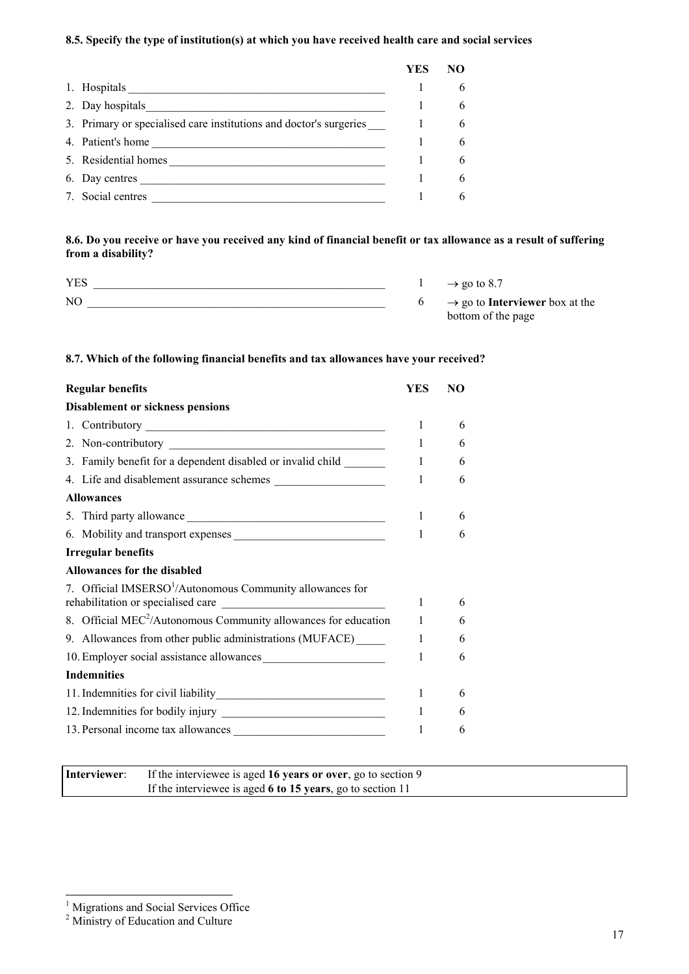## **8.5. Specify the type of institution(s) at which you have received health care and social services**

|                                                                    | <b>YES</b> | NO |
|--------------------------------------------------------------------|------------|----|
| 1. Hospitals                                                       |            |    |
| 2. Day hospitals                                                   |            | 6  |
| 3. Primary or specialised care institutions and doctor's surgeries |            | 6  |
| 4. Patient's home                                                  |            | 6  |
| 5. Residential homes                                               |            | 6  |
| 6. Day centres                                                     |            | 6  |
| 7. Social centres                                                  |            | 6  |

**8.6. Do you receive or have you received any kind of financial benefit or tax allowance as a result of suffering from a disability?**

| <b>YES</b>     | $\rightarrow$ go to 8.7                           |
|----------------|---------------------------------------------------|
| N <sub>O</sub> | $\rightarrow$ go to <b>Interviewer</b> box at the |
|                | bottom of the page                                |

## **8.7. Which of the following financial benefits and tax allowances have your received?**

| <b>Regular benefits</b>                                                                                     | YES          | NO. |
|-------------------------------------------------------------------------------------------------------------|--------------|-----|
| <b>Disablement or sickness pensions</b>                                                                     |              |     |
|                                                                                                             | 1            | 6   |
|                                                                                                             | 1            | 6   |
| 3. Family benefit for a dependent disabled or invalid child                                                 | $\mathbf{1}$ | 6   |
|                                                                                                             | $\mathbf{1}$ | 6   |
| <b>Allowances</b>                                                                                           |              |     |
|                                                                                                             | 1            | 6   |
| 6. Mobility and transport expenses                                                                          | 1            | 6   |
| <b>Irregular benefits</b>                                                                                   |              |     |
| Allowances for the disabled                                                                                 |              |     |
| 7. Official IMSERSO <sup>1</sup> /Autonomous Community allowances for<br>rehabilitation or specialised care | 1            | 6   |
| 8. Official $MEC^2/A$ utonomous Community allowances for education                                          | $\mathbf{1}$ | 6   |
| 9. Allowances from other public administrations (MUFACE)_____                                               | $\mathbf{1}$ | 6   |
| 10. Employer social assistance allowances                                                                   | 1            | 6   |
| <b>Indemnities</b>                                                                                          |              |     |
|                                                                                                             | 1            | 6   |
|                                                                                                             | 1            | 6   |
| 13. Personal income tax allowances                                                                          | 1            | 6   |
|                                                                                                             |              |     |

| Interviewer: | If the interviewee is aged 16 years or over, go to section 9 |
|--------------|--------------------------------------------------------------|
|              | If the interviewee is aged 6 to 15 years, go to section 11   |

 $\overline{a}$ 

<span id="page-16-0"></span><sup>&</sup>lt;sup>1</sup> Migrations and Social Services Office

<span id="page-16-1"></span><sup>&</sup>lt;sup>2</sup> Ministry of Education and Culture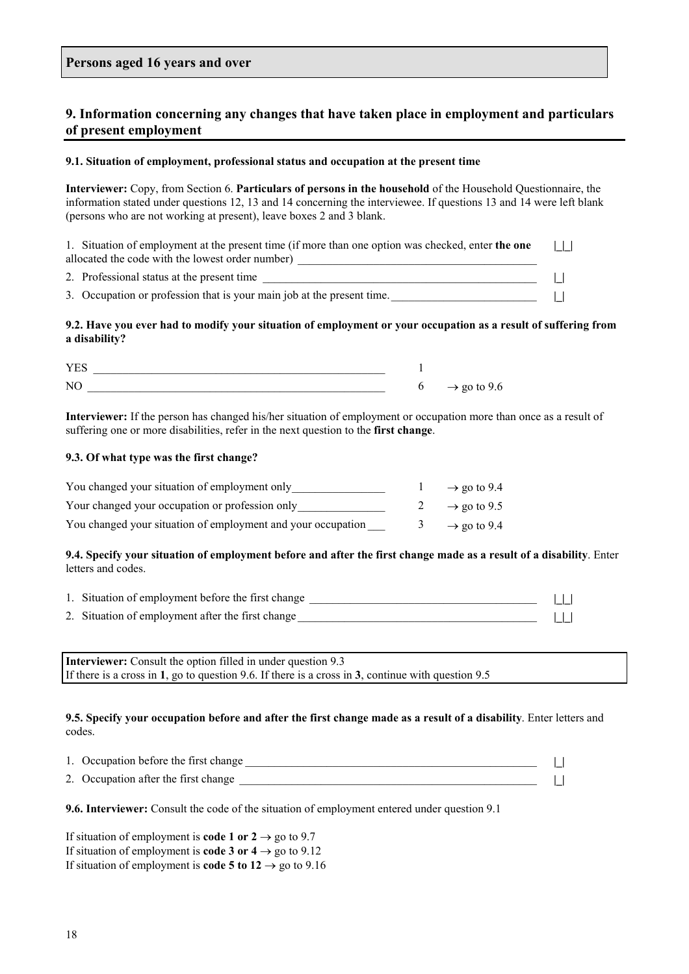# **9. Information concerning any changes that have taken place in employment and particulars of present employment**

#### **9.1. Situation of employment, professional status and occupation at the present time**

**Interviewer:** Copy, from Section 6. **Particulars of persons in the household** of the Household Questionnaire, the information stated under questions 12, 13 and 14 concerning the interviewee. If questions 13 and 14 were left blank (persons who are not working at present), leave boxes 2 and 3 blank.

1. Situation of employment at the present time (if more than one option was checked, enter **the one** allocated the code with the lowest order number) **|\_|\_|**

2. Professional status at the present time \_\_\_\_\_\_\_\_\_\_\_\_\_\_\_\_\_\_\_\_\_\_\_\_\_\_\_\_\_\_\_\_\_\_\_\_\_\_\_\_\_\_\_\_\_\_\_ **|\_|**

3. Occupation or profession that is your main job at the present time.\_\_\_\_\_\_\_\_\_\_\_\_\_\_\_\_\_\_\_\_\_\_\_\_\_ **|\_|**

#### **9.2. Have you ever had to modify your situation of employment or your occupation as a result of suffering from a disability?**

| _ __                            |  |
|---------------------------------|--|
| $\overline{\rm M}$<br><b>II</b> |  |

**Interviewer:** If the person has changed his/her situation of employment or occupation more than once as a result of suffering one or more disabilities, refer in the next question to the **first change**.

#### **9.3. Of what type was the first change?**

| You changed your situation of employment only                | $\rightarrow$ go to 9.4 |
|--------------------------------------------------------------|-------------------------|
| Your changed your occupation or profession only              | $\rightarrow$ go to 9.5 |
| You changed your situation of employment and your occupation | $\rightarrow$ go to 9.4 |

#### **9.4. Specify your situation of employment before and after the first change made as a result of a disability**. Enter letters and codes.

| 1. Situation of employment before the first change |  |  |
|----------------------------------------------------|--|--|
| 2. Situation of employment after the first change  |  |  |

**Interviewer:** Consult the option filled in under question 9.3 If there is a cross in **1**, go to question 9.6. If there is a cross in **3**, continue with question 9.5

#### **9.5. Specify your occupation before and after the first change made as a result of a disability**. Enter letters and codes.

| 1. Occupation before the first change |  |
|---------------------------------------|--|
| 2. Occupation after the first change  |  |

**9.6. Interviewer:** Consult the code of the situation of employment entered under question 9.1

If situation of employment is **code 1 or 2**  $\rightarrow$  go to 9.7 If situation of employment is **code 3 or 4**  $\rightarrow$  go to 9.12 If situation of employment is **code 5 to 12**  $\rightarrow$  go to 9.16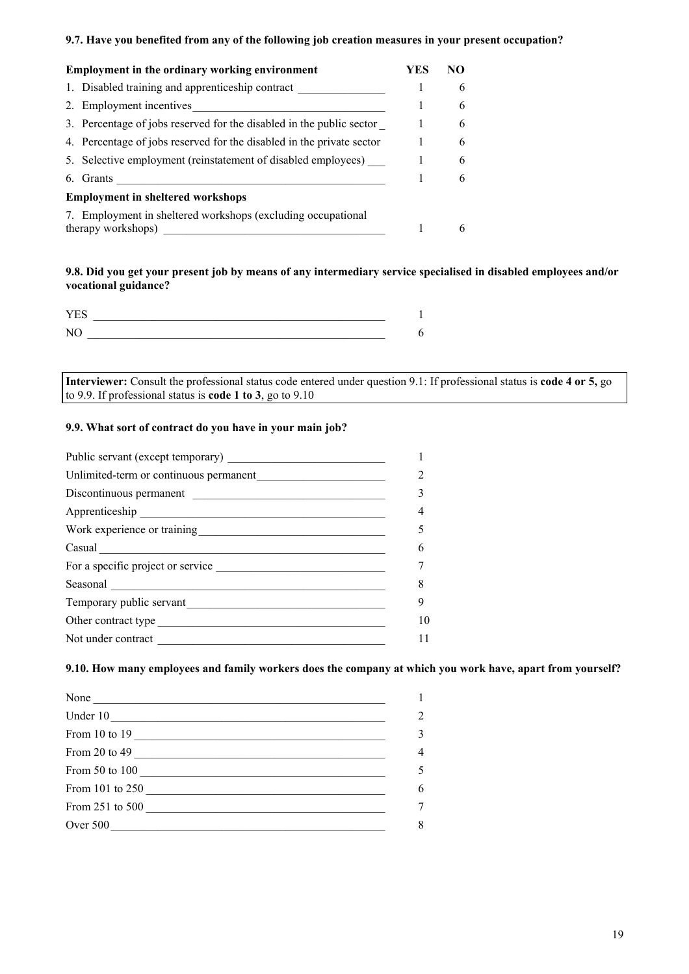## **9.7. Have you benefited from any of the following job creation measures in your present occupation?**

| <b>Employment in the ordinary working environment</b>                              | YES | NO. |
|------------------------------------------------------------------------------------|-----|-----|
| 1. Disabled training and apprenticeship contract                                   |     | 6   |
| 2. Employment incentives                                                           |     | 6   |
| 3. Percentage of jobs reserved for the disabled in the public sector               |     | 6   |
| 4. Percentage of jobs reserved for the disabled in the private sector              |     | 6   |
| 5. Selective employment (reinstatement of disabled employees)                      |     | 6   |
| 6. Grants                                                                          |     | 6   |
| <b>Employment in sheltered workshops</b>                                           |     |     |
| 7. Employment in sheltered workshops (excluding occupational<br>therapy workshops) |     | 6   |

## **9.8. Did you get your present job by means of any intermediary service specialised in disabled employees and/or vocational guidance?**

**Interviewer:** Consult the professional status code entered under question 9.1: If professional status is **code 4 or 5,** go to 9.9. If professional status is **code 1 to 3**, go to 9.10

## **9.9. What sort of contract do you have in your main job?**

| Public servant (except temporary)      |  |
|----------------------------------------|--|
| Unlimited-term or continuous permanent |  |
| Discontinuous permanent                |  |
|                                        |  |
|                                        |  |
|                                        |  |
| For a specific project or service      |  |
| Seasonal <u>Communication</u>          |  |
| Temporary public servant               |  |
|                                        |  |
| Not under contract                     |  |

## **9.10. How many employees and family workers does the company at which you work have, apart from yourself?**

| None            |  |
|-----------------|--|
| Under 10        |  |
| From 10 to 19   |  |
| From 20 to 49   |  |
| From 50 to 100  |  |
| From 101 to 250 |  |
| From 251 to 500 |  |
|                 |  |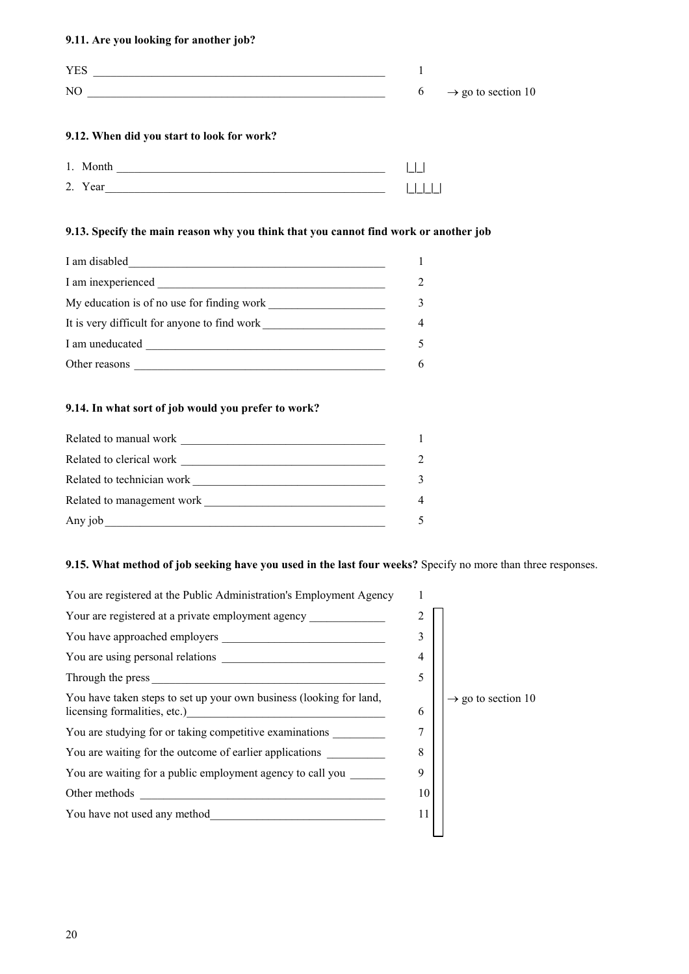## **9.11. Are you looking for another job?**

| <b>YES</b>                                                                                                                  |  |                                  |
|-----------------------------------------------------------------------------------------------------------------------------|--|----------------------------------|
| NO.<br><u> 1980 - Jan James James Jan James James James James James James James James James James James James James Jam</u> |  | $6 \rightarrow$ go to section 10 |
| 9.12. When did you start to look for work?                                                                                  |  |                                  |
| 1. Month                                                                                                                    |  |                                  |
| 2. Year                                                                                                                     |  |                                  |

# **9.13. Specify the main reason why you think that you cannot find work or another job**

| I am disabled                                                                                                                                                                                                                        |                |
|--------------------------------------------------------------------------------------------------------------------------------------------------------------------------------------------------------------------------------------|----------------|
| I am inexperienced                                                                                                                                                                                                                   | $\mathfrak{D}$ |
| My education is of no use for finding work                                                                                                                                                                                           | 3              |
| It is very difficult for anyone to find work                                                                                                                                                                                         | 4              |
| I am uneducated <b>the contract of the contract of the contract of the contract of the contract of the contract of the contract of the contract of the contract of the contract of the contract of the contract of the contract </b> | 5              |
| Other reasons                                                                                                                                                                                                                        | 6              |

## **9.14. In what sort of job would you prefer to work?**

| Related to manual work     |               |
|----------------------------|---------------|
| Related to clerical work   | $\mathcal{D}$ |
| Related to technician work | 3             |
| Related to management work | 4             |
| Any job                    |               |

# **9.15. What method of job seeking have you used in the last four weeks?** Specify no more than three responses.

| You are registered at the Public Administration's Employment Agency                                 |    |                                |
|-----------------------------------------------------------------------------------------------------|----|--------------------------------|
| Your are registered at a private employment agency                                                  |    |                                |
|                                                                                                     | 3  |                                |
|                                                                                                     | 4  |                                |
|                                                                                                     | 5  |                                |
| You have taken steps to set up your own business (looking for land,<br>licensing formalities, etc.) | 6  | $\rightarrow$ go to section 10 |
| You are studying for or taking competitive examinations                                             | 7  |                                |
| You are waiting for the outcome of earlier applications                                             | 8  |                                |
| You are waiting for a public employment agency to call you                                          | 9  |                                |
| Other methods<br><u> 1980 - John Stein, Amerikaansk politiker (* 1918)</u>                          | 10 |                                |
| You have not used any method                                                                        | 11 |                                |
|                                                                                                     |    |                                |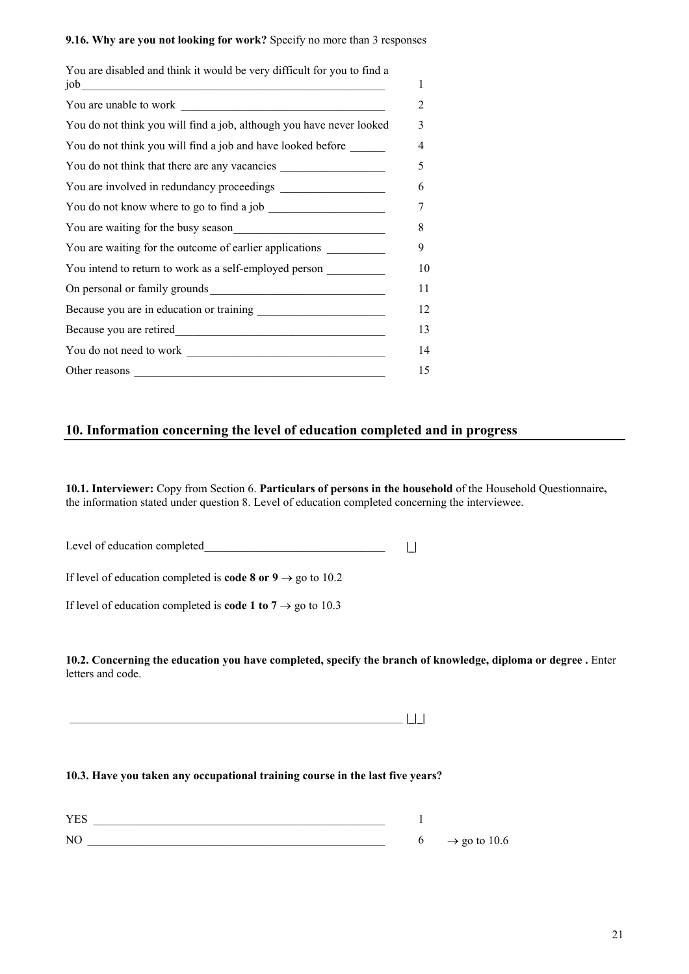#### **9.16. Why are you not looking for work?** Specify no more than 3 responses

| You are disabled and think it would be very difficult for you to find a<br>job   |
|----------------------------------------------------------------------------------|
|                                                                                  |
| You do not think you will find a job, although you have never looked             |
| You do not think you will find a job and have looked before ______               |
| You do not think that there are any vacancies                                    |
|                                                                                  |
|                                                                                  |
|                                                                                  |
| You are waiting for the outcome of earlier applications ________________________ |
| You intend to return to work as a self-employed person                           |
|                                                                                  |
|                                                                                  |
|                                                                                  |
|                                                                                  |
|                                                                                  |

# **10. Information concerning the level of education completed and in progress**

**10.1. Interviewer:** Copy from Section 6. **Particulars of persons in the household** of the Household Questionnaire**,** the information stated under question 8. Level of education completed concerning the interviewee.

Level of education completed\_\_\_\_\_\_\_\_\_\_\_\_\_\_\_\_\_\_\_\_\_\_\_\_\_\_\_\_\_\_\_ **|\_|**

If level of education completed is **code 8 or 9**  $\rightarrow$  go to 10.2

If level of education completed is **code 1 to 7**  $\rightarrow$  go to 10.3

**10.2. Concerning the education you have completed, specify the branch of knowledge, diploma or degree .** Enter letters and code.

\_\_\_\_\_\_\_\_\_\_\_\_\_\_\_\_\_\_\_\_\_\_\_\_\_\_\_\_\_\_\_\_\_\_\_\_\_\_\_\_\_\_\_\_\_\_\_\_\_\_\_\_\_\_\_\_\_ **|\_|\_|**

#### **10.3. Have you taken any occupational training course in the last five years?**

| <b>YES</b> |                          |
|------------|--------------------------|
| NC         | $\rightarrow$ go to 10.6 |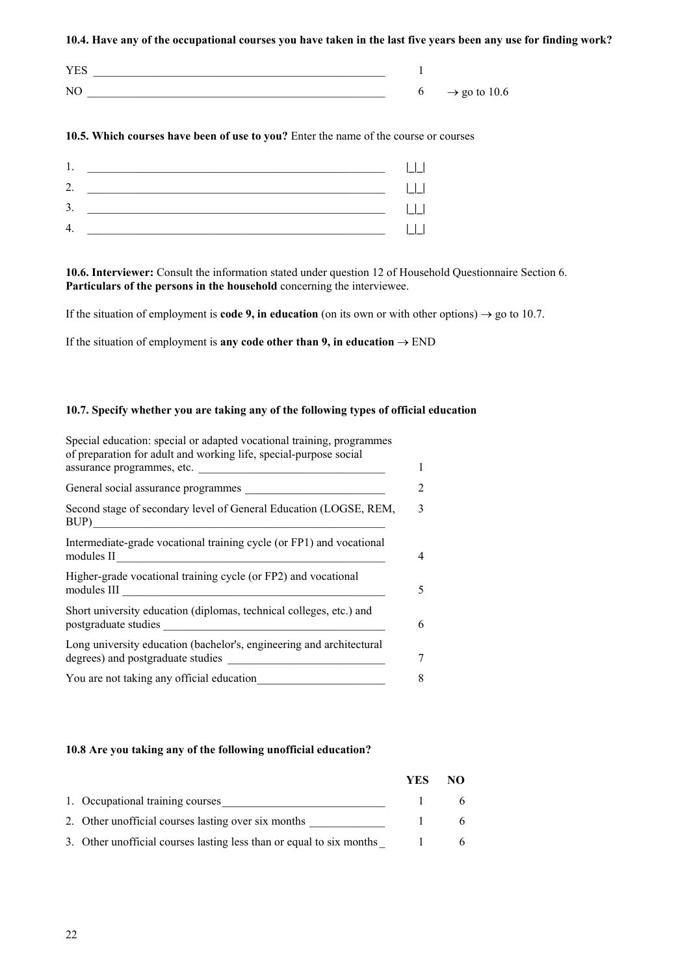**10.4. Have any of the occupational courses you have taken in the last five years been any use for finding work?**

| <b>YES</b> |                          |
|------------|--------------------------|
| NC         | $\rightarrow$ go to 10.6 |

### **10.5. Which courses have been of use to you?** Enter the name of the course or courses



**10.6. Interviewer:** Consult the information stated under question 12 of Household Questionnaire Section 6. Particulars of the persons in the household concerning the interviewee.

If the situation of employment is **code 9, in education** (on its own or with other options)  $\rightarrow$  go to 10.7.

If the situation of employment is **any code other than 9, in education**  $\rightarrow$  END

#### **10.7. Specify whether you are taking any of the following types of official education**

| Special education: special or adapted vocational training, programmes<br>of preparation for adult and working life, special-purpose social<br>assurance programmes, etc. |
|--------------------------------------------------------------------------------------------------------------------------------------------------------------------------|
| General social assurance programmes                                                                                                                                      |
| Second stage of secondary level of General Education (LOGSE, REM,<br>BUP)                                                                                                |
| Intermediate-grade vocational training cycle (or FP1) and vocational<br>modules II                                                                                       |
| Higher-grade vocational training cycle (or FP2) and vocational<br>modules III                                                                                            |
| Short university education (diplomas, technical colleges, etc.) and<br>postgraduate studies<br>the control of the control of the control of                              |
| Long university education (bachelor's, engineering and architectural<br>degrees) and postgraduate studies                                                                |
| You are not taking any official education                                                                                                                                |

#### **10.8 Are you taking any of the following unofficial education?**

|                                                                      | YES | NΟ |
|----------------------------------------------------------------------|-----|----|
| 1. Occupational training courses                                     |     |    |
| 2. Other unofficial courses lasting over six months                  |     |    |
| 3. Other unofficial courses lasting less than or equal to six months |     |    |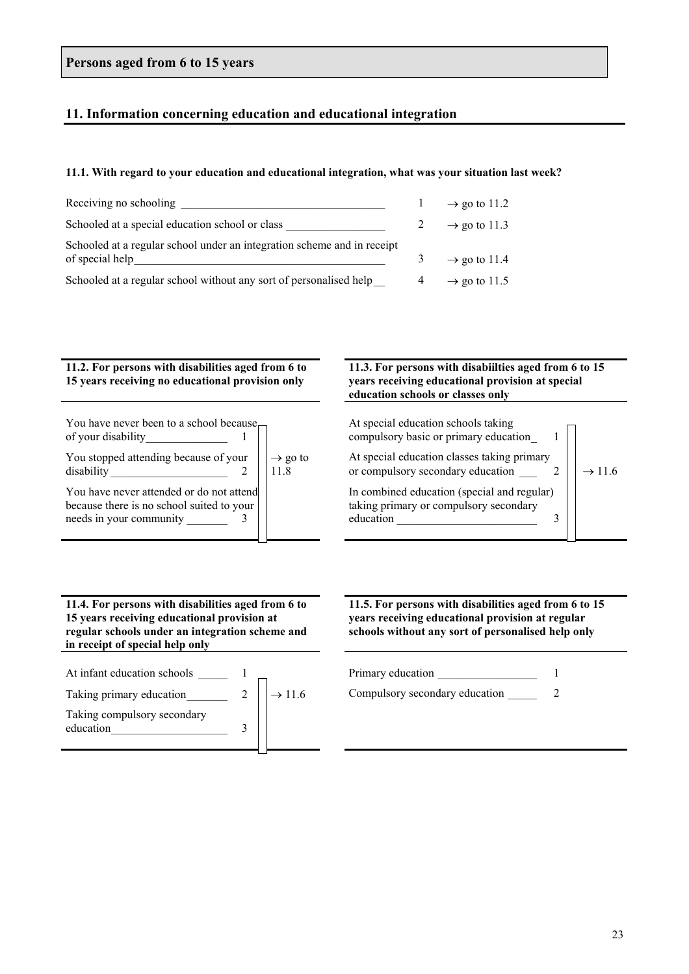# **Persons aged from 6 to 15 years**

# **11. Information concerning education and educational integration**

#### **11.1. With regard to your education and educational integration, what was your situation last week?**

| Receiving no schooling                                                                     | $\rightarrow$ go to 11.2 |
|--------------------------------------------------------------------------------------------|--------------------------|
| Schooled at a special education school or class                                            | $\rightarrow$ go to 11.3 |
| Schooled at a regular school under an integration scheme and in receipt<br>of special help | $\rightarrow$ go to 11.4 |
| Schooled at a regular school without any sort of personalised help                         | $\rightarrow$ go to 11.5 |

## **11.2. For persons with disabilities aged from 6 to 15 years receiving no educational provision only**

| You have never been to a school because <sub>r</sub><br>of your disability                                       |                             |
|------------------------------------------------------------------------------------------------------------------|-----------------------------|
| You stopped attending because of your<br>disability                                                              | $\rightarrow$ go to<br>11.8 |
| You have never attended or do not attend<br>because there is no school suited to your<br>needs in your community |                             |

## **11.4. For persons with disabilities aged from 6 to 15 years receiving educational provision at regular schools under an integration scheme and in receipt of special help only**

| At infant education schools              |                    |
|------------------------------------------|--------------------|
| Taking primary education                 | $\rightarrow$ 11.6 |
| Taking compulsory secondary<br>education |                    |

## **11.3. For persons with disabiilties aged from 6 to 15 years receiving educational provision at special education schools or classes only**

| At special education schools taking<br>compulsory basic or primary education                       |                    |
|----------------------------------------------------------------------------------------------------|--------------------|
| At special education classes taking primary<br>or compulsory secondary education                   | $\rightarrow$ 11.6 |
| In combined education (special and regular)<br>taking primary or compulsory secondary<br>education |                    |

**11.5. For persons with disabilities aged from 6 to 15 years receiving educational provision at regular schools without any sort of personalised help only**

Primary education 1

The Compulsory secondary education 2